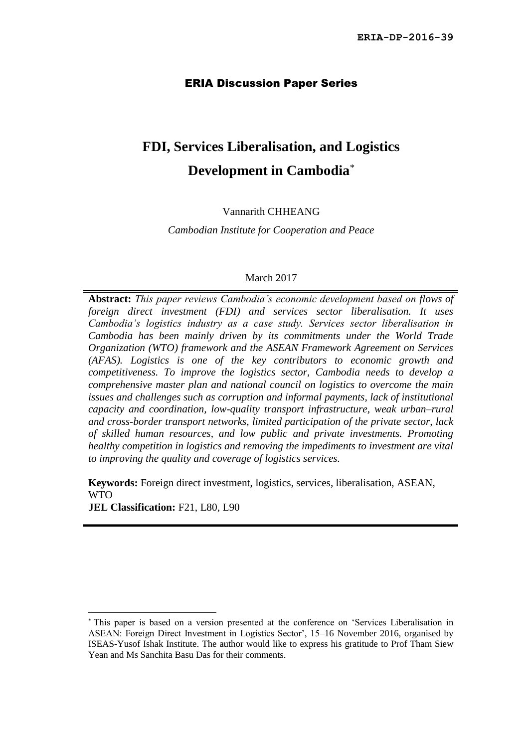# ERIA Discussion Paper Series

# **FDI, Services Liberalisation, and Logistics Development in Cambodia**\*

#### Vannarith CHHEANG

*Cambodian Institute for Cooperation and Peace*

#### March 2017

**Abstract:** *This paper reviews Cambodia's economic development based on flows of foreign direct investment (FDI) and services sector liberalisation. It uses Cambodia's logistics industry as a case study. Services sector liberalisation in Cambodia has been mainly driven by its commitments under the World Trade Organization (WTO) framework and the ASEAN Framework Agreement on Services (AFAS). Logistics is one of the key contributors to economic growth and competitiveness. To improve the logistics sector, Cambodia needs to develop a comprehensive master plan and national council on logistics to overcome the main issues and challenges such as corruption and informal payments, lack of institutional capacity and coordination, low-quality transport infrastructure, weak urban–rural and cross-border transport networks, limited participation of the private sector, lack of skilled human resources, and low public and private investments. Promoting healthy competition in logistics and removing the impediments to investment are vital to improving the quality and coverage of logistics services.*

**Keywords:** Foreign direct investment, logistics, services, liberalisation, ASEAN, WTO **JEL Classification:** F21, L80, L90

<sup>\*</sup> This paper is based on a version presented at the conference on 'Services Liberalisation in ASEAN: Foreign Direct Investment in Logistics Sector', 15–16 November 2016, organised by ISEAS-Yusof Ishak Institute. The author would like to express his gratitude to Prof Tham Siew Yean and Ms Sanchita Basu Das for their comments.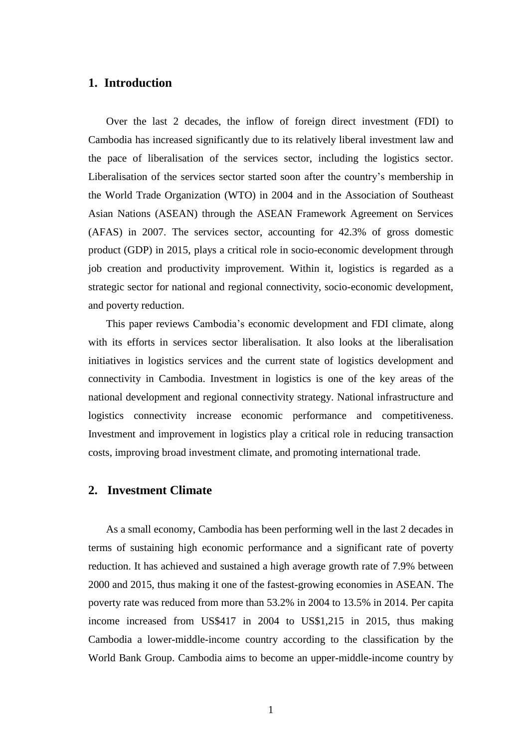# **1. Introduction**

Over the last 2 decades, the inflow of foreign direct investment (FDI) to Cambodia has increased significantly due to its relatively liberal investment law and the pace of liberalisation of the services sector, including the logistics sector. Liberalisation of the services sector started soon after the country's membership in the World Trade Organization (WTO) in 2004 and in the Association of Southeast Asian Nations (ASEAN) through the ASEAN Framework Agreement on Services (AFAS) in 2007. The services sector, accounting for 42.3% of gross domestic product (GDP) in 2015, plays a critical role in socio-economic development through job creation and productivity improvement. Within it, logistics is regarded as a strategic sector for national and regional connectivity, socio-economic development, and poverty reduction.

This paper reviews Cambodia's economic development and FDI climate, along with its efforts in services sector liberalisation. It also looks at the liberalisation initiatives in logistics services and the current state of logistics development and connectivity in Cambodia. Investment in logistics is one of the key areas of the national development and regional connectivity strategy. National infrastructure and logistics connectivity increase economic performance and competitiveness. Investment and improvement in logistics play a critical role in reducing transaction costs, improving broad investment climate, and promoting international trade.

## **2. Investment Climate**

As a small economy, Cambodia has been performing well in the last 2 decades in terms of sustaining high economic performance and a significant rate of poverty reduction. It has achieved and sustained a high average growth rate of 7.9% between 2000 and 2015, thus making it one of the fastest-growing economies in ASEAN. The poverty rate was reduced from more than 53.2% in 2004 to 13.5% in 2014. Per capita income increased from US\$417 in 2004 to US\$1,215 in 2015, thus making Cambodia a lower-middle-income country according to the classification by the World Bank Group. Cambodia aims to become an upper-middle-income country by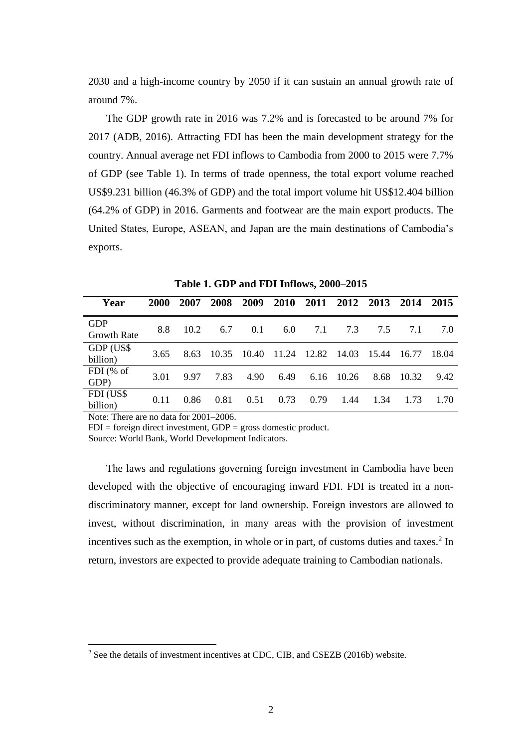2030 and a high-income country by 2050 if it can sustain an annual growth rate of around 7%.

The GDP growth rate in 2016 was 7.2% and is forecasted to be around 7% for 2017 (ADB, 2016). Attracting FDI has been the main development strategy for the country. Annual average net FDI inflows to Cambodia from 2000 to 2015 were 7.7% of GDP (see Table 1). In terms of trade openness, the total export volume reached US\$9.231 billion (46.3% of GDP) and the total import volume hit US\$12.404 billion (64.2% of GDP) in 2016. Garments and footwear are the main export products. The United States, Europe, ASEAN, and Japan are the main destinations of Cambodia's exports.

| Year                             | <b>2000</b> | 2007 | 2008  | 2009  | 2010        | 2011 |       | 2012 2013 | 2014  | 2015  |
|----------------------------------|-------------|------|-------|-------|-------------|------|-------|-----------|-------|-------|
| <b>GDP</b><br><b>Growth Rate</b> | 8.8         | 10.2 | 6.7   | 0.1   | 6.0         | 7.1  | 7.3   | 7.5       | 7.1   | 7.0   |
| GDP (US\$<br>billion)            | 3.65        | 8.63 | 10.35 | 10.40 | 11.24 12.82 |      | 14.03 | 15.44     | 16.77 | 18.04 |
| $FDI$ (% of<br>GDP)              | 3.01        | 9.97 | 7.83  | 4.90  | 6.49        | 6.16 | 10.26 | 8.68      | 10.32 | 9.42  |
| FDI (US\$<br>billion)            | 0.11        | 0.86 | 0.81  | 0.51  | 0.73        | 0.79 | 1.44  | 1.34      | 1.73  | 1.70  |

**Table 1. GDP and FDI Inflows, 2000–2015**

Note: There are no data for 2001–2006.

<u>.</u>

 $FDI =$  foreign direct investment,  $GDP =$  gross domestic product.

Source: World Bank, World Development Indicators.

The laws and regulations governing foreign investment in Cambodia have been developed with the objective of encouraging inward FDI. FDI is treated in a nondiscriminatory manner, except for land ownership. Foreign investors are allowed to invest, without discrimination, in many areas with the provision of investment incentives such as the exemption, in whole or in part, of customs duties and taxes.<sup>2</sup> In return, investors are expected to provide adequate training to Cambodian nationals.

<sup>2</sup> See the details of investment incentives at CDC, CIB, and CSEZB (2016b) website.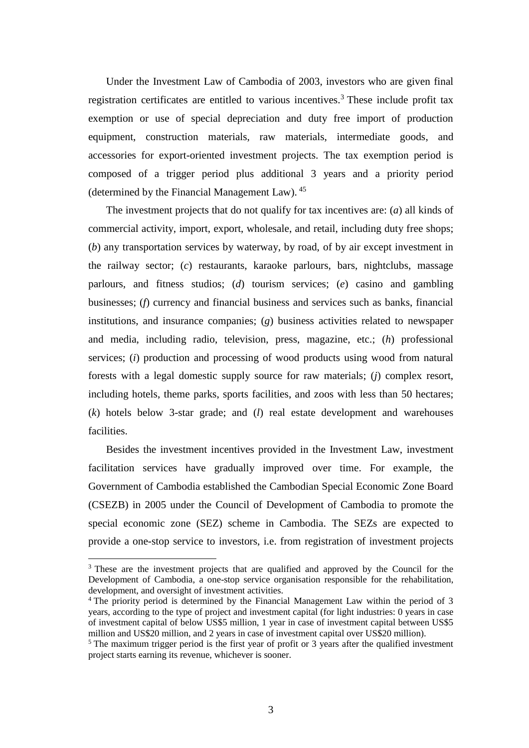Under the Investment Law of Cambodia of 2003, investors who are given final registration certificates are entitled to various incentives. <sup>3</sup> These include profit tax exemption or use of special depreciation and duty free import of production equipment, construction materials, raw materials, intermediate goods, and accessories for export-oriented investment projects. The tax exemption period is composed of a trigger period plus additional 3 years and a priority period (determined by the Financial Management Law). 45

The investment projects that do not qualify for tax incentives are: (*a*) all kinds of commercial activity, import, export, wholesale, and retail, including duty free shops; (*b*) any transportation services by waterway, by road, of by air except investment in the railway sector; (*c*) restaurants, karaoke parlours, bars, nightclubs, massage parlours, and fitness studios; (*d*) tourism services; (*e*) casino and gambling businesses; (*f*) currency and financial business and services such as banks, financial institutions, and insurance companies; (*g*) business activities related to newspaper and media, including radio, television, press, magazine, etc.; (*h*) professional services; (*i*) production and processing of wood products using wood from natural forests with a legal domestic supply source for raw materials; (*j*) complex resort, including hotels, theme parks, sports facilities, and zoos with less than 50 hectares; (*k*) hotels below 3-star grade; and (*l*) real estate development and warehouses facilities.

Besides the investment incentives provided in the Investment Law, investment facilitation services have gradually improved over time. For example, the Government of Cambodia established the Cambodian Special Economic Zone Board (CSEZB) in 2005 under the Council of Development of Cambodia to promote the special economic zone (SEZ) scheme in Cambodia. The SEZs are expected to provide a one-stop service to investors, i.e. from registration of investment projects

<sup>&</sup>lt;sup>3</sup> These are the investment projects that are qualified and approved by the Council for the Development of Cambodia, a one-stop service organisation responsible for the rehabilitation, development, and oversight of investment activities.

<sup>4</sup> The priority period is determined by the Financial Management Law within the period of 3 years, according to the type of project and investment capital (for light industries: 0 years in case of investment capital of below US\$5 million, 1 year in case of investment capital between US\$5 million and US\$20 million, and 2 years in case of investment capital over US\$20 million).

<sup>&</sup>lt;sup>5</sup> The maximum trigger period is the first year of profit or 3 years after the qualified investment project starts earning its revenue, whichever is sooner.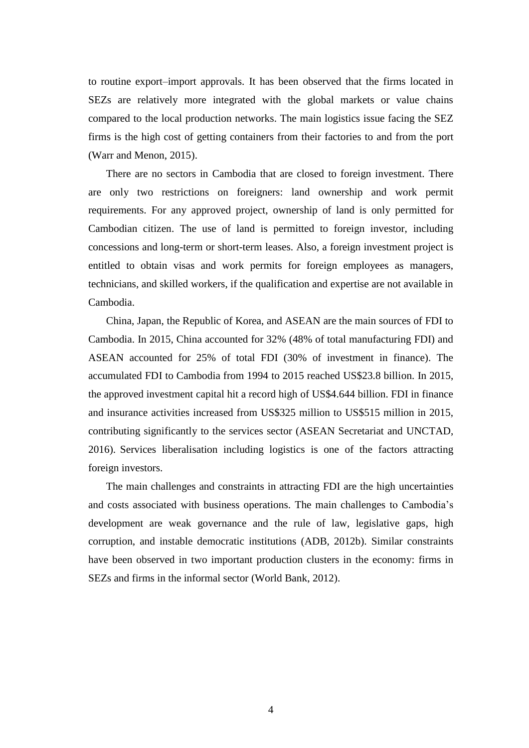to routine export–import approvals. It has been observed that the firms located in SEZs are relatively more integrated with the global markets or value chains compared to the local production networks. The main logistics issue facing the SEZ firms is the high cost of getting containers from their factories to and from the port (Warr and Menon, 2015).

There are no sectors in Cambodia that are closed to foreign investment. There are only two restrictions on foreigners: land ownership and work permit requirements. For any approved project, ownership of land is only permitted for Cambodian citizen. The use of land is permitted to foreign investor, including concessions and long-term or short-term leases. Also, a foreign investment project is entitled to obtain visas and work permits for foreign employees as managers, technicians, and skilled workers, if the qualification and expertise are not available in Cambodia.

China, Japan, the Republic of Korea, and ASEAN are the main sources of FDI to Cambodia. In 2015, China accounted for 32% (48% of total manufacturing FDI) and ASEAN accounted for 25% of total FDI (30% of investment in finance). The accumulated FDI to Cambodia from 1994 to 2015 reached US\$23.8 billion. In 2015, the approved investment capital hit a record high of US\$4.644 billion. FDI in finance and insurance activities increased from US\$325 million to US\$515 million in 2015, contributing significantly to the services sector (ASEAN Secretariat and UNCTAD, 2016). Services liberalisation including logistics is one of the factors attracting foreign investors.

The main challenges and constraints in attracting FDI are the high uncertainties and costs associated with business operations. The main challenges to Cambodia's development are weak governance and the rule of law, legislative gaps, high corruption, and instable democratic institutions (ADB, 2012b). Similar constraints have been observed in two important production clusters in the economy: firms in SEZs and firms in the informal sector (World Bank, 2012).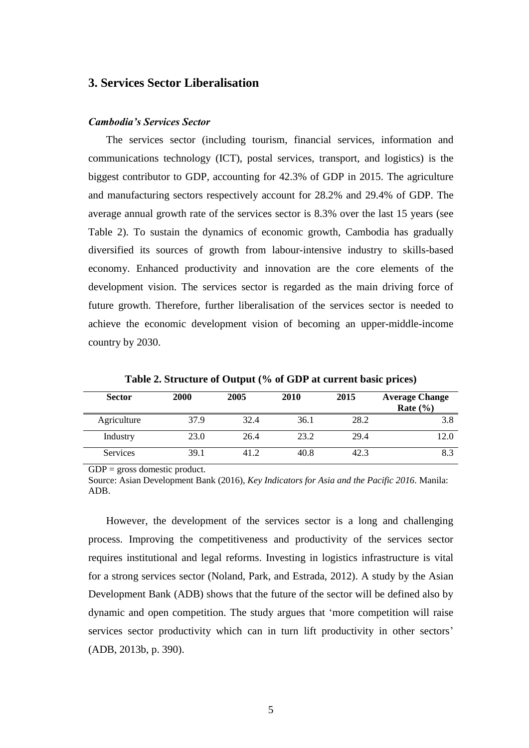# **3. Services Sector Liberalisation**

#### *Cambodia's Services Sector*

The services sector (including tourism, financial services, information and communications technology (ICT), postal services, transport, and logistics) is the biggest contributor to GDP, accounting for 42.3% of GDP in 2015. The agriculture and manufacturing sectors respectively account for 28.2% and 29.4% of GDP. The average annual growth rate of the services sector is 8.3% over the last 15 years (see Table 2). To sustain the dynamics of economic growth, Cambodia has gradually diversified its sources of growth from labour-intensive industry to skills-based economy. Enhanced productivity and innovation are the core elements of the development vision. The services sector is regarded as the main driving force of future growth. Therefore, further liberalisation of the services sector is needed to achieve the economic development vision of becoming an upper-middle-income country by 2030.

| <b>Sector</b>   | <b>2000</b> | 2005 | 2010 | 2015 | <b>Average Change</b><br>Rate $(\% )$ |
|-----------------|-------------|------|------|------|---------------------------------------|
| Agriculture     | 37.9        | 32.4 | 36.1 | 28.2 | 3.8                                   |
| Industry        | 23.0        | 26.4 | 23.2 | 29.4 | 12.0                                  |
| <b>Services</b> | 39.1        | 41.2 | 40.8 | 42.3 | 8.3                                   |

**Table 2. Structure of Output (% of GDP at current basic prices)**

 $GDP =$  gross domestic product.

Source: Asian Development Bank (2016), *Key Indicators for Asia and the Pacific 2016*. Manila: ADB.

However, the development of the services sector is a long and challenging process. Improving the competitiveness and productivity of the services sector requires institutional and legal reforms. Investing in logistics infrastructure is vital for a strong services sector (Noland, Park, and Estrada, 2012). A study by the Asian Development Bank (ADB) shows that the future of the sector will be defined also by dynamic and open competition. The study argues that 'more competition will raise services sector productivity which can in turn lift productivity in other sectors' (ADB, 2013b, p. 390).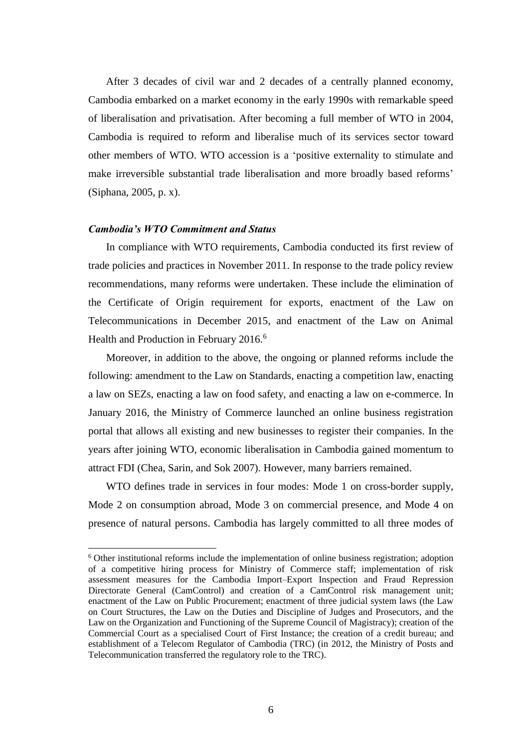After 3 decades of civil war and 2 decades of a centrally planned economy, Cambodia embarked on a market economy in the early 1990s with remarkable speed of liberalisation and privatisation. After becoming a full member of WTO in 2004, Cambodia is required to reform and liberalise much of its services sector toward other members of WTO. WTO accession is a 'positive externality to stimulate and make irreversible substantial trade liberalisation and more broadly based reforms' (Siphana, 2005, p. x).

#### *Cambodia's WTO Commitment and Status*

<u>.</u>

In compliance with WTO requirements, Cambodia conducted its first review of trade policies and practices in November 2011. In response to the trade policy review recommendations, many reforms were undertaken. These include the elimination of the Certificate of Origin requirement for exports, enactment of the Law on Telecommunications in December 2015, and enactment of the Law on Animal Health and Production in February 2016.<sup>6</sup>

Moreover, in addition to the above, the ongoing or planned reforms include the following: amendment to the Law on Standards, enacting a competition law, enacting a law on SEZs, enacting a law on food safety, and enacting a law on e-commerce. In January 2016, the Ministry of Commerce launched an online business registration portal that allows all existing and new businesses to register their companies. In the years after joining WTO, economic liberalisation in Cambodia gained momentum to attract FDI (Chea, Sarin, and Sok 2007). However, many barriers remained.

WTO defines trade in services in four modes: Mode 1 on cross-border supply, Mode 2 on consumption abroad, Mode 3 on commercial presence, and Mode 4 on presence of natural persons. Cambodia has largely committed to all three modes of

<sup>6</sup> Other institutional reforms include the implementation of online business registration; adoption of a competitive hiring process for Ministry of Commerce staff; implementation of risk assessment measures for the Cambodia Import–Export Inspection and Fraud Repression Directorate General (CamControl) and creation of a CamControl risk management unit; enactment of the Law on Public Procurement; enactment of three judicial system laws (the Law on Court Structures, the Law on the Duties and Discipline of Judges and Prosecutors, and the Law on the Organization and Functioning of the Supreme Council of Magistracy); creation of the Commercial Court as a specialised Court of First Instance; the creation of a credit bureau; and establishment of a Telecom Regulator of Cambodia (TRC) (in 2012, the Ministry of Posts and Telecommunication transferred the regulatory role to the TRC).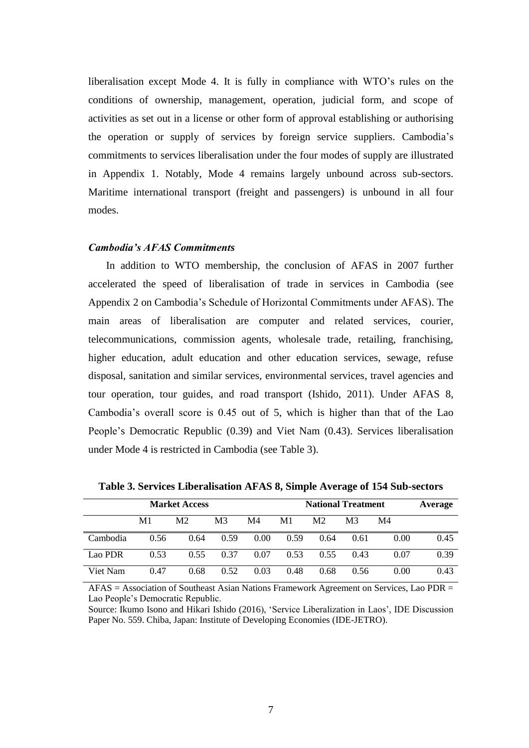liberalisation except Mode 4. It is fully in compliance with WTO's rules on the conditions of ownership, management, operation, judicial form, and scope of activities as set out in a license or other form of approval establishing or authorising the operation or supply of services by foreign service suppliers. Cambodia's commitments to services liberalisation under the four modes of supply are illustrated in Appendix 1. Notably, Mode 4 remains largely unbound across sub-sectors. Maritime international transport (freight and passengers) is unbound in all four modes.

#### *Cambodia's AFAS Commitments*

In addition to WTO membership, the conclusion of AFAS in 2007 further accelerated the speed of liberalisation of trade in services in Cambodia (see Appendix 2 on Cambodia's Schedule of Horizontal Commitments under AFAS). The main areas of liberalisation are computer and related services, courier, telecommunications, commission agents, wholesale trade, retailing, franchising, higher education, adult education and other education services, sewage, refuse disposal, sanitation and similar services, environmental services, travel agencies and tour operation, tour guides, and road transport (Ishido, 2011). Under AFAS 8, Cambodia's overall score is 0.45 out of 5, which is higher than that of the Lao People's Democratic Republic (0.39) and Viet Nam (0.43). Services liberalisation under Mode 4 is restricted in Cambodia (see Table 3).

| <b>Market Access</b> |      |                |      | <b>National Treatment</b> |      |                |      | Average |      |
|----------------------|------|----------------|------|---------------------------|------|----------------|------|---------|------|
|                      | M1   | M <sub>2</sub> | M3   | M4                        | M1   | M <sub>2</sub> | M3   | M4      |      |
| Cambodia             | 0.56 | 0.64           | 0.59 | 0.00                      | 0.59 | 0.64           | 0.61 | 0.00    | 0.45 |
| Lao PDR              | 0.53 | 0.55           | 0.37 | 0.07                      | 0.53 | 0.55           | 0.43 | 0.07    | 0.39 |
| Viet Nam             | 0.47 | 0.68           | 0.52 | 0.03                      | 0.48 | 0.68           | 0.56 | 0.00    | 0.43 |

**Table 3. Services Liberalisation AFAS 8, Simple Average of 154 Sub-sectors**

AFAS = Association of Southeast Asian Nations Framework Agreement on Services, Lao PDR = Lao People's Democratic Republic.

Source: Ikumo Isono and Hikari Ishido (2016), 'Service Liberalization in Laos', IDE Discussion Paper No. 559. Chiba, Japan: Institute of Developing Economies (IDE-JETRO).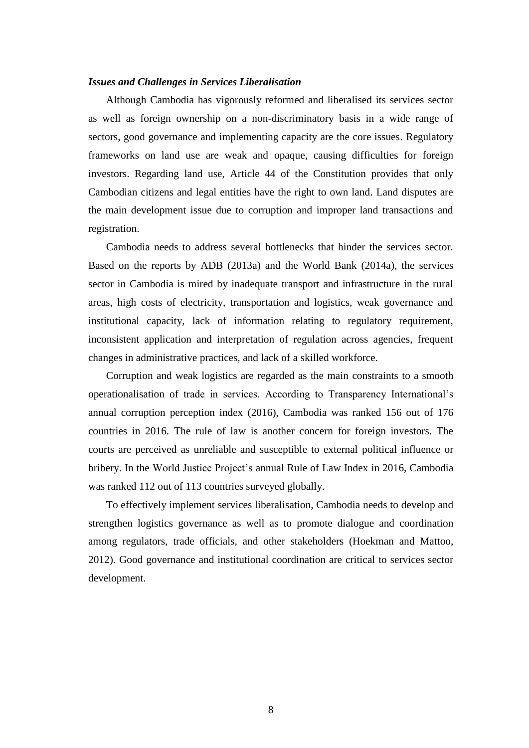#### *Issues and Challenges in Services Liberalisation*

Although Cambodia has vigorously reformed and liberalised its services sector as well as foreign ownership on a non-discriminatory basis in a wide range of sectors, good governance and implementing capacity are the core issues. Regulatory frameworks on land use are weak and opaque, causing difficulties for foreign investors. Regarding land use, Article 44 of the Constitution provides that only Cambodian citizens and legal entities have the right to own land. Land disputes are the main development issue due to corruption and improper land transactions and registration.

Cambodia needs to address several bottlenecks that hinder the services sector. Based on the reports by ADB (2013a) and the World Bank (2014a), the services sector in Cambodia is mired by inadequate transport and infrastructure in the rural areas, high costs of electricity, transportation and logistics, weak governance and institutional capacity, lack of information relating to regulatory requirement, inconsistent application and interpretation of regulation across agencies, frequent changes in administrative practices, and lack of a skilled workforce.

Corruption and weak logistics are regarded as the main constraints to a smooth operationalisation of trade in services. According to Transparency International's annual corruption perception index (2016), Cambodia was ranked 156 out of 176 countries in 2016. The rule of law is another concern for foreign investors. The courts are perceived as unreliable and susceptible to external political influence or bribery. In the World Justice Project's annual Rule of Law Index in 2016, Cambodia was ranked 112 out of 113 countries surveyed globally.

To effectively implement services liberalisation, Cambodia needs to develop and strengthen logistics governance as well as to promote dialogue and coordination among regulators, trade officials, and other stakeholders (Hoekman and Mattoo, 2012). Good governance and institutional coordination are critical to services sector development.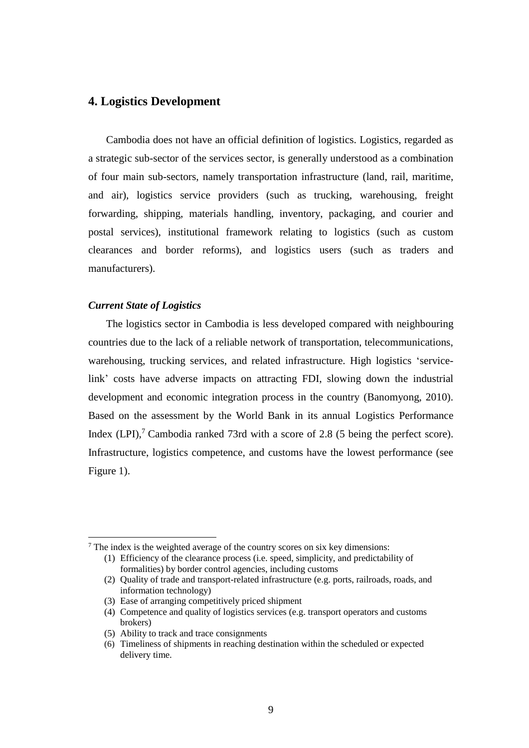#### **4. Logistics Development**

Cambodia does not have an official definition of logistics. Logistics, regarded as a strategic sub-sector of the services sector, is generally understood as a combination of four main sub-sectors, namely transportation infrastructure (land, rail, maritime, and air), logistics service providers (such as trucking, warehousing, freight forwarding, shipping, materials handling, inventory, packaging, and courier and postal services), institutional framework relating to logistics (such as custom clearances and border reforms), and logistics users (such as traders and manufacturers).

#### *Current State of Logistics*

<u>.</u>

The logistics sector in Cambodia is less developed compared with neighbouring countries due to the lack of a reliable network of transportation, telecommunications, warehousing, trucking services, and related infrastructure. High logistics 'servicelink' costs have adverse impacts on attracting FDI, slowing down the industrial development and economic integration process in the country (Banomyong, 2010). Based on the assessment by the World Bank in its annual Logistics Performance Index (LPI), <sup>7</sup> Cambodia ranked 73rd with a score of 2.8 (5 being the perfect score). Infrastructure, logistics competence, and customs have the lowest performance (see Figure 1).

<sup>7</sup> The index is the weighted average of the country scores on six key dimensions:

<sup>(1)</sup> Efficiency of the clearance process (i.e. speed, simplicity, and predictability of formalities) by border control agencies, including customs

<sup>(2)</sup> Quality of trade and transport-related infrastructure (e.g. ports, railroads, roads, and information technology)

<sup>(3)</sup> Ease of arranging competitively priced shipment

<sup>(4)</sup> Competence and quality of logistics services (e.g. transport operators and customs brokers)

<sup>(5)</sup> Ability to track and trace consignments

<sup>(6)</sup> Timeliness of shipments in reaching destination within the scheduled or expected delivery time.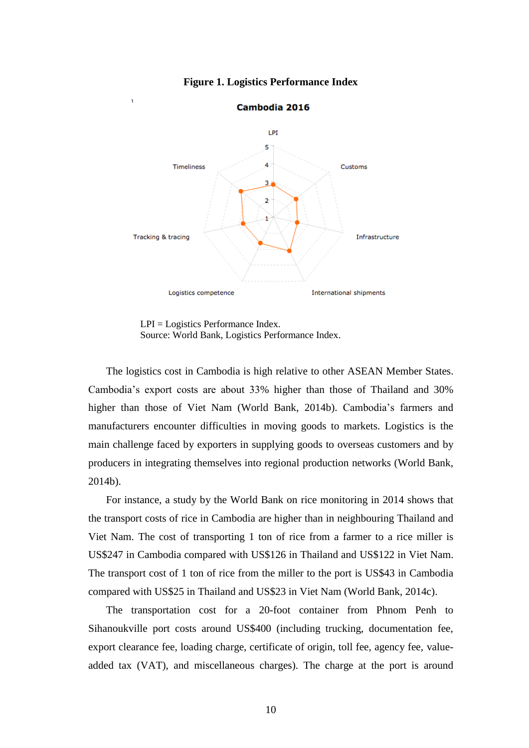

#### **Figure 1. Logistics Performance Index**

Cambodia 2016

LPI = Logistics Performance Index. Source: World Bank, Logistics Performance Index.

The logistics cost in Cambodia is high relative to other ASEAN Member States. Cambodia's export costs are about 33% higher than those of Thailand and 30% higher than those of Viet Nam (World Bank, 2014b). Cambodia's farmers and manufacturers encounter difficulties in moving goods to markets. Logistics is the main challenge faced by exporters in supplying goods to overseas customers and by producers in integrating themselves into regional production networks (World Bank, 2014b).

For instance, a study by the World Bank on rice monitoring in 2014 shows that the transport costs of rice in Cambodia are higher than in neighbouring Thailand and Viet Nam. The cost of transporting 1 ton of rice from a farmer to a rice miller is US\$247 in Cambodia compared with US\$126 in Thailand and US\$122 in Viet Nam. The transport cost of 1 ton of rice from the miller to the port is US\$43 in Cambodia compared with US\$25 in Thailand and US\$23 in Viet Nam (World Bank, 2014c).

The transportation cost for a 20-foot container from Phnom Penh to Sihanoukville port costs around US\$400 (including trucking, documentation fee, export clearance fee, loading charge, certificate of origin, toll fee, agency fee, valueadded tax (VAT), and miscellaneous charges). The charge at the port is around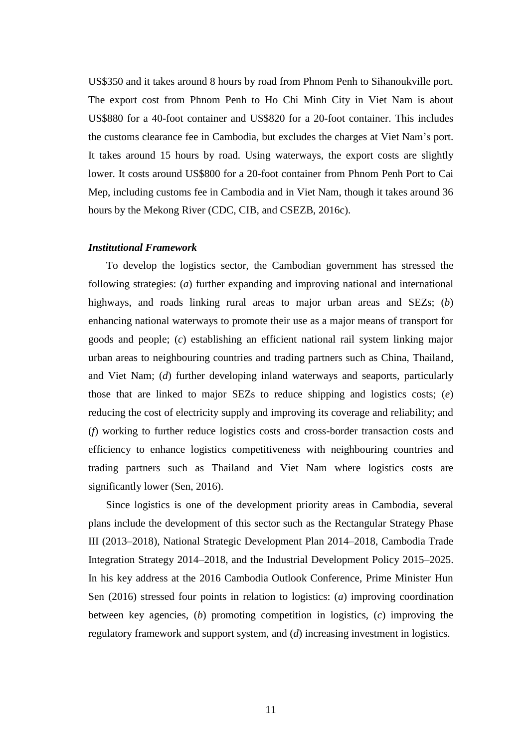US\$350 and it takes around 8 hours by road from Phnom Penh to Sihanoukville port. The export cost from Phnom Penh to Ho Chi Minh City in Viet Nam is about US\$880 for a 40-foot container and US\$820 for a 20-foot container. This includes the customs clearance fee in Cambodia, but excludes the charges at Viet Nam's port. It takes around 15 hours by road. Using waterways, the export costs are slightly lower. It costs around US\$800 for a 20-foot container from Phnom Penh Port to Cai Mep, including customs fee in Cambodia and in Viet Nam, though it takes around 36 hours by the Mekong River (CDC, CIB, and CSEZB, 2016c).

#### *Institutional Framework*

To develop the logistics sector, the Cambodian government has stressed the following strategies: (*a*) further expanding and improving national and international highways, and roads linking rural areas to major urban areas and SEZs; (*b*) enhancing national waterways to promote their use as a major means of transport for goods and people; (*c*) establishing an efficient national rail system linking major urban areas to neighbouring countries and trading partners such as China, Thailand, and Viet Nam; (*d*) further developing inland waterways and seaports, particularly those that are linked to major SEZs to reduce shipping and logistics costs; (*e*) reducing the cost of electricity supply and improving its coverage and reliability; and (*f*) working to further reduce logistics costs and cross-border transaction costs and efficiency to enhance logistics competitiveness with neighbouring countries and trading partners such as Thailand and Viet Nam where logistics costs are significantly lower (Sen, 2016).

Since logistics is one of the development priority areas in Cambodia, several plans include the development of this sector such as the Rectangular Strategy Phase III (2013–2018), National Strategic Development Plan 2014–2018, Cambodia Trade Integration Strategy 2014–2018, and the Industrial Development Policy 2015–2025. In his key address at the 2016 Cambodia Outlook Conference, Prime Minister Hun Sen (2016) stressed four points in relation to logistics: (*a*) improving coordination between key agencies, (*b*) promoting competition in logistics, (*c*) improving the regulatory framework and support system, and (*d*) increasing investment in logistics.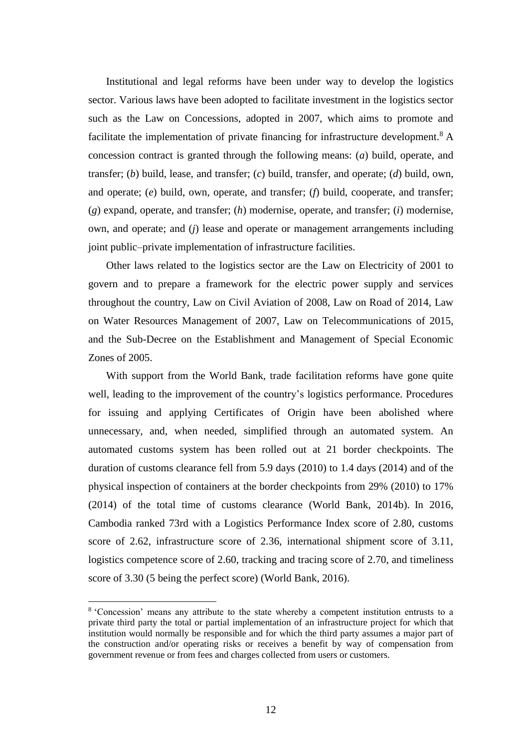Institutional and legal reforms have been under way to develop the logistics sector. Various laws have been adopted to facilitate investment in the logistics sector such as the Law on Concessions, adopted in 2007, which aims to promote and facilitate the implementation of private financing for infrastructure development.<sup>8</sup> A concession contract is granted through the following means: (*a*) build, operate, and transfer; (*b*) build, lease, and transfer; (*c*) build, transfer, and operate; (*d*) build, own, and operate; (*e*) build, own, operate, and transfer; (*f*) build, cooperate, and transfer; (*g*) expand, operate, and transfer; (*h*) modernise, operate, and transfer; (*i*) modernise, own, and operate; and (*j*) lease and operate or management arrangements including joint public–private implementation of infrastructure facilities.

Other laws related to the logistics sector are the Law on Electricity of 2001 to govern and to prepare a framework for the electric power supply and services throughout the country, Law on Civil Aviation of 2008, Law on Road of 2014, Law on Water Resources Management of 2007, Law on Telecommunications of 2015, and the Sub-Decree on the Establishment and Management of Special Economic Zones of 2005.

With support from the World Bank, trade facilitation reforms have gone quite well, leading to the improvement of the country's logistics performance. Procedures for issuing and applying Certificates of Origin have been abolished where unnecessary, and, when needed, simplified through an automated system. An automated customs system has been rolled out at 21 border checkpoints. The duration of customs clearance fell from 5.9 days (2010) to 1.4 days (2014) and of the physical inspection of containers at the border checkpoints from 29% (2010) to 17% (2014) of the total time of customs clearance (World Bank, 2014b). In 2016, Cambodia ranked 73rd with a Logistics Performance Index score of 2.80, customs score of 2.62, infrastructure score of 2.36, international shipment score of 3.11, logistics competence score of 2.60, tracking and tracing score of 2.70, and timeliness score of 3.30 (5 being the perfect score) (World Bank, 2016).

<sup>&</sup>lt;sup>8</sup> 'Concession' means any attribute to the state whereby a competent institution entrusts to a private third party the total or partial implementation of an infrastructure project for which that institution would normally be responsible and for which the third party assumes a major part of the construction and/or operating risks or receives a benefit by way of compensation from government revenue or from fees and charges collected from users or customers.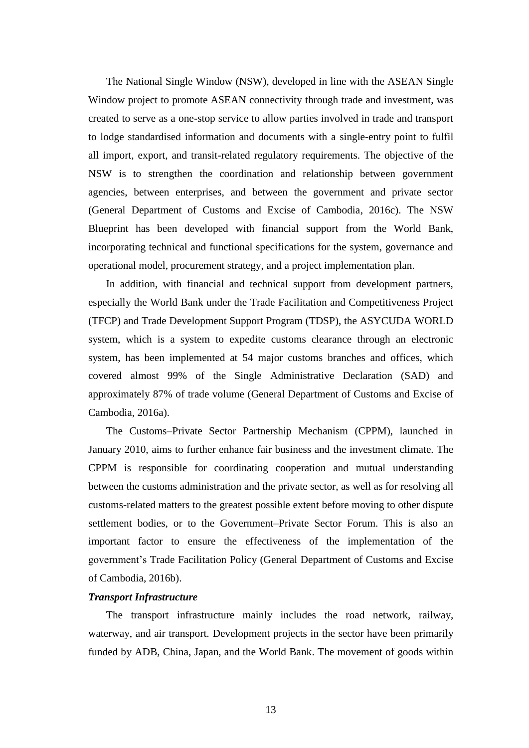The National Single Window (NSW), developed in line with the ASEAN Single Window project to promote ASEAN connectivity through trade and investment, was created to serve as a one-stop service to allow parties involved in trade and transport to lodge standardised information and documents with a single-entry point to fulfil all import, export, and transit-related regulatory requirements. The objective of the NSW is to strengthen the coordination and relationship between government agencies, between enterprises, and between the government and private sector (General Department of Customs and Excise of Cambodia, 2016c). The NSW Blueprint has been developed with financial support from the World Bank, incorporating technical and functional specifications for the system, governance and operational model, procurement strategy, and a project implementation plan.

In addition, with financial and technical support from development partners, especially the World Bank under the Trade Facilitation and Competitiveness Project (TFCP) and Trade Development Support Program (TDSP), the ASYCUDA WORLD system, which is a system to expedite customs clearance through an electronic system, has been implemented at 54 major customs branches and offices, which covered almost 99% of the Single Administrative Declaration (SAD) and approximately 87% of trade volume (General Department of Customs and Excise of Cambodia, 2016a).

The Customs–Private Sector Partnership Mechanism (CPPM), launched in January 2010, aims to further enhance fair business and the investment climate. The CPPM is responsible for coordinating cooperation and mutual understanding between the customs administration and the private sector, as well as for resolving all customs-related matters to the greatest possible extent before moving to other dispute settlement bodies, or to the Government–Private Sector Forum. This is also an important factor to ensure the effectiveness of the implementation of the government's Trade Facilitation Policy (General Department of Customs and Excise of Cambodia, 2016b).

#### *Transport Infrastructure*

The transport infrastructure mainly includes the road network, railway, waterway, and air transport. Development projects in the sector have been primarily funded by ADB, China, Japan, and the World Bank. The movement of goods within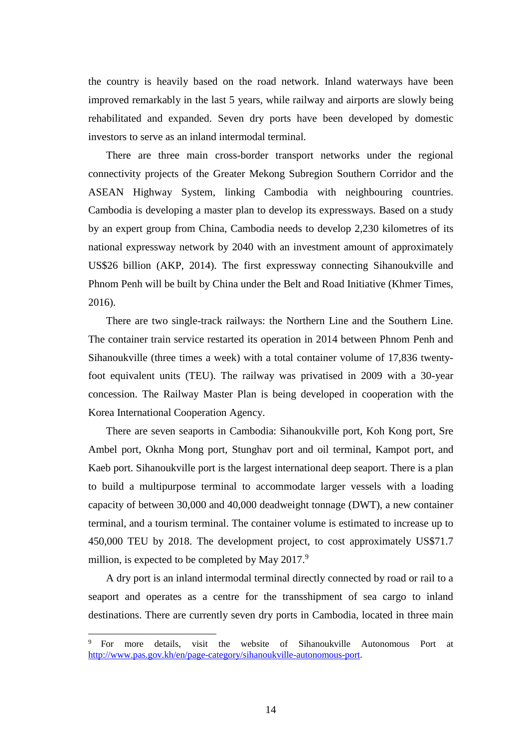the country is heavily based on the road network. Inland waterways have been improved remarkably in the last 5 years, while railway and airports are slowly being rehabilitated and expanded. Seven dry ports have been developed by domestic investors to serve as an inland intermodal terminal.

There are three main cross-border transport networks under the regional connectivity projects of the Greater Mekong Subregion Southern Corridor and the ASEAN Highway System, linking Cambodia with neighbouring countries. Cambodia is developing a master plan to develop its expressways. Based on a study by an expert group from China, Cambodia needs to develop 2,230 kilometres of its national expressway network by 2040 with an investment amount of approximately US\$26 billion (AKP, 2014). The first expressway connecting Sihanoukville and Phnom Penh will be built by China under the Belt and Road Initiative (Khmer Times, 2016).

There are two single-track railways: the Northern Line and the Southern Line. The container train service restarted its operation in 2014 between Phnom Penh and Sihanoukville (three times a week) with a total container volume of 17,836 twentyfoot equivalent units (TEU). The railway was privatised in 2009 with a 30-year concession. The Railway Master Plan is being developed in cooperation with the Korea International Cooperation Agency.

There are seven seaports in Cambodia: Sihanoukville port, Koh Kong port, Sre Ambel port, Oknha Mong port, Stunghav port and oil terminal, Kampot port, and Kaeb port. Sihanoukville port is the largest international deep seaport. There is a plan to build a multipurpose terminal to accommodate larger vessels with a loading capacity of between 30,000 and 40,000 deadweight tonnage (DWT), a new container terminal, and a tourism terminal. The container volume is estimated to increase up to 450,000 TEU by 2018. The development project, to cost approximately US\$71.7 million, is expected to be completed by May 2017.<sup>9</sup>

A dry port is an inland intermodal terminal directly connected by road or rail to a seaport and operates as a centre for the transshipment of sea cargo to inland destinations. There are currently seven dry ports in Cambodia, located in three main

<sup>&</sup>lt;sup>9</sup> For more details, visit the website of Sihanoukville Autonomous Port at [http://www.pas.gov.kh/en/page-category/sihanoukville-autonomous-port.](http://www.pas.gov.kh/en/page-category/sihanoukville-autonomous-port)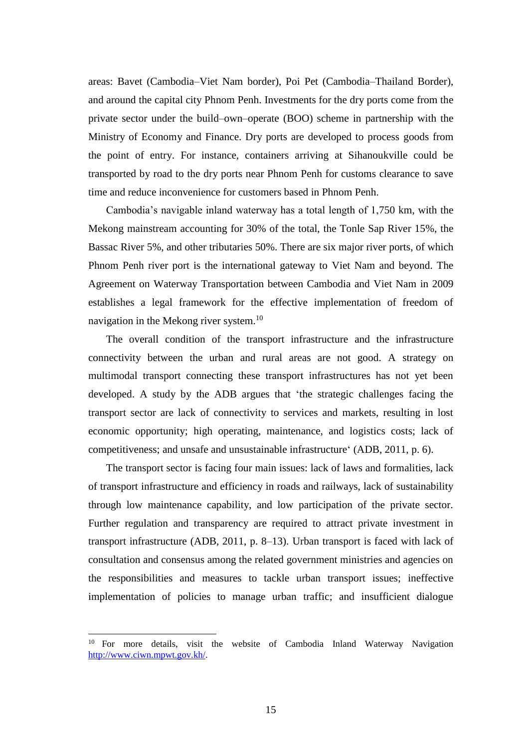areas: Bavet (Cambodia–Viet Nam border), Poi Pet (Cambodia–Thailand Border), and around the capital city Phnom Penh. Investments for the dry ports come from the private sector under the build–own–operate (BOO) scheme in partnership with the Ministry of Economy and Finance. Dry ports are developed to process goods from the point of entry. For instance, containers arriving at Sihanoukville could be transported by road to the dry ports near Phnom Penh for customs clearance to save time and reduce inconvenience for customers based in Phnom Penh.

Cambodia's navigable inland waterway has a total length of 1,750 km, with the Mekong mainstream accounting for 30% of the total, the Tonle Sap River 15%, the Bassac River 5%, and other tributaries 50%. There are six major river ports, of which Phnom Penh river port is the international gateway to Viet Nam and beyond. The Agreement on Waterway Transportation between Cambodia and Viet Nam in 2009 establishes a legal framework for the effective implementation of freedom of navigation in the Mekong river system.<sup>10</sup>

The overall condition of the transport infrastructure and the infrastructure connectivity between the urban and rural areas are not good. A strategy on multimodal transport connecting these transport infrastructures has not yet been developed. A study by the ADB argues that 'the strategic challenges facing the transport sector are lack of connectivity to services and markets, resulting in lost economic opportunity; high operating, maintenance, and logistics costs; lack of competitiveness; and unsafe and unsustainable infrastructure' (ADB, 2011, p. 6).

The transport sector is facing four main issues: lack of laws and formalities, lack of transport infrastructure and efficiency in roads and railways, lack of sustainability through low maintenance capability, and low participation of the private sector. Further regulation and transparency are required to attract private investment in transport infrastructure (ADB, 2011, p. 8–13). Urban transport is faced with lack of consultation and consensus among the related government ministries and agencies on the responsibilities and measures to tackle urban transport issues; ineffective implementation of policies to manage urban traffic; and insufficient dialogue

<sup>10</sup> For more details, visit the website of Cambodia Inland Waterway Navigation [http://www.ciwn.mpwt.gov.kh/.](http://www.ciwn.mpwt.gov.kh/)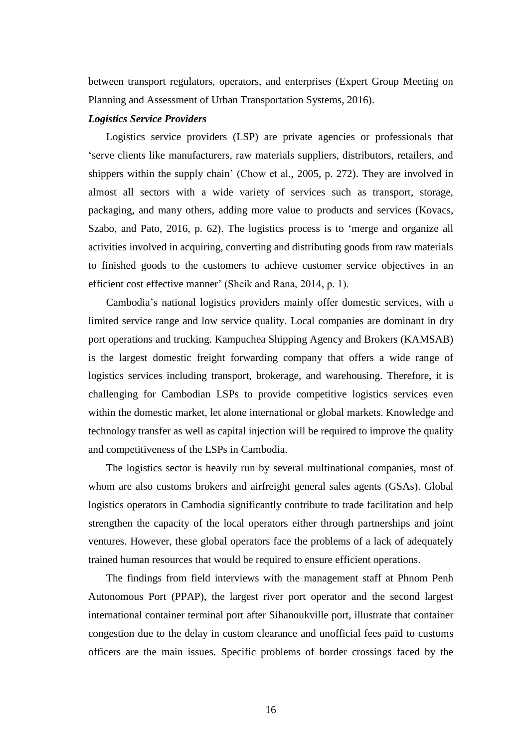between transport regulators, operators, and enterprises (Expert Group Meeting on Planning and Assessment of Urban Transportation Systems, 2016).

#### *Logistics Service Providers*

Logistics service providers (LSP) are private agencies or professionals that 'serve clients like manufacturers, raw materials suppliers, distributors, retailers, and shippers within the supply chain' (Chow et al., 2005, p. 272). They are involved in almost all sectors with a wide variety of services such as transport, storage, packaging, and many others, adding more value to products and services (Kovacs, Szabo, and Pato, 2016, p. 62). The logistics process is to 'merge and organize all activities involved in acquiring, converting and distributing goods from raw materials to finished goods to the customers to achieve customer service objectives in an efficient cost effective manner' (Sheik and Rana, 2014, p. 1).

Cambodia's national logistics providers mainly offer domestic services, with a limited service range and low service quality. Local companies are dominant in dry port operations and trucking. Kampuchea Shipping Agency and Brokers (KAMSAB) is the largest domestic freight forwarding company that offers a wide range of logistics services including transport, brokerage, and warehousing. Therefore, it is challenging for Cambodian LSPs to provide competitive logistics services even within the domestic market, let alone international or global markets. Knowledge and technology transfer as well as capital injection will be required to improve the quality and competitiveness of the LSPs in Cambodia.

The logistics sector is heavily run by several multinational companies, most of whom are also customs brokers and airfreight general sales agents (GSAs). Global logistics operators in Cambodia significantly contribute to trade facilitation and help strengthen the capacity of the local operators either through partnerships and joint ventures. However, these global operators face the problems of a lack of adequately trained human resources that would be required to ensure efficient operations.

The findings from field interviews with the management staff at Phnom Penh Autonomous Port (PPAP), the largest river port operator and the second largest international container terminal port after Sihanoukville port, illustrate that container congestion due to the delay in custom clearance and unofficial fees paid to customs officers are the main issues. Specific problems of border crossings faced by the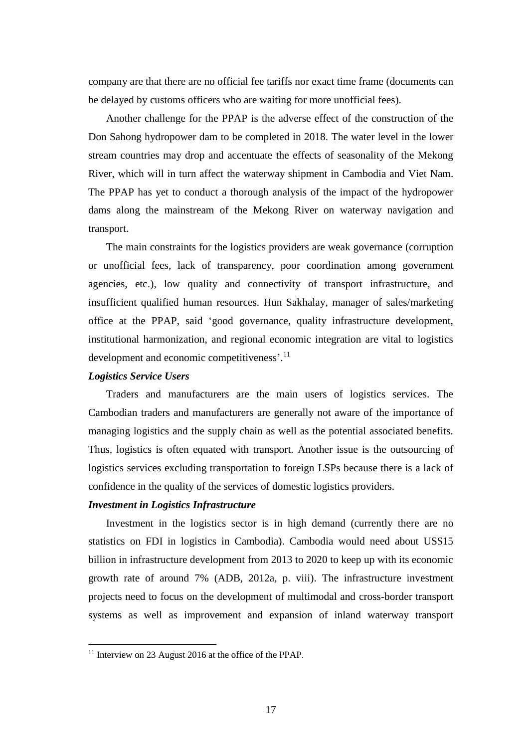company are that there are no official fee tariffs nor exact time frame (documents can be delayed by customs officers who are waiting for more unofficial fees).

Another challenge for the PPAP is the adverse effect of the construction of the Don Sahong hydropower dam to be completed in 2018. The water level in the lower stream countries may drop and accentuate the effects of seasonality of the Mekong River, which will in turn affect the waterway shipment in Cambodia and Viet Nam. The PPAP has yet to conduct a thorough analysis of the impact of the hydropower dams along the mainstream of the Mekong River on waterway navigation and transport.

The main constraints for the logistics providers are weak governance (corruption or unofficial fees, lack of transparency, poor coordination among government agencies, etc.), low quality and connectivity of transport infrastructure, and insufficient qualified human resources. Hun Sakhalay, manager of sales/marketing office at the PPAP, said 'good governance, quality infrastructure development, institutional harmonization, and regional economic integration are vital to logistics development and economic competitiveness'.<sup>11</sup>

#### *Logistics Service Users*

<u>.</u>

Traders and manufacturers are the main users of logistics services. The Cambodian traders and manufacturers are generally not aware of the importance of managing logistics and the supply chain as well as the potential associated benefits. Thus, logistics is often equated with transport. Another issue is the outsourcing of logistics services excluding transportation to foreign LSPs because there is a lack of confidence in the quality of the services of domestic logistics providers.

#### *Investment in Logistics Infrastructure*

Investment in the logistics sector is in high demand (currently there are no statistics on FDI in logistics in Cambodia). Cambodia would need about US\$15 billion in infrastructure development from 2013 to 2020 to keep up with its economic growth rate of around 7% (ADB, 2012a, p. viii). The infrastructure investment projects need to focus on the development of multimodal and cross-border transport systems as well as improvement and expansion of inland waterway transport

<sup>&</sup>lt;sup>11</sup> Interview on 23 August 2016 at the office of the PPAP.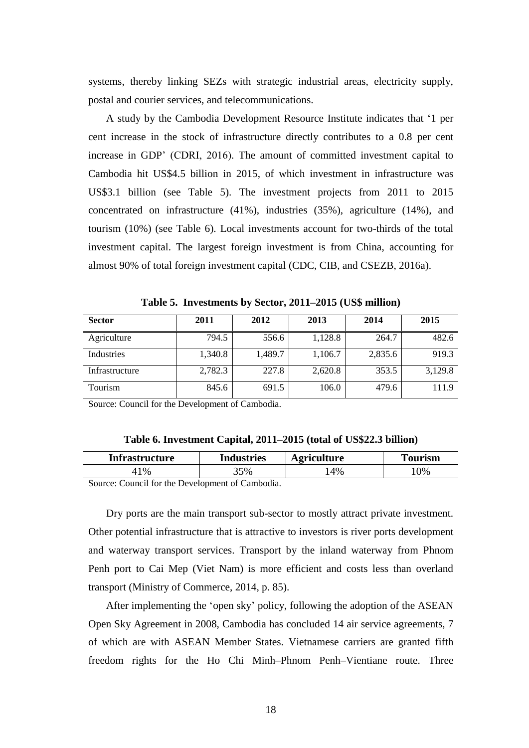systems, thereby linking SEZs with strategic industrial areas, electricity supply, postal and courier services, and telecommunications.

A study by the Cambodia Development Resource Institute indicates that '1 per cent increase in the stock of infrastructure directly contributes to a 0.8 per cent increase in GDP' (CDRI, 2016). The amount of committed investment capital to Cambodia hit US\$4.5 billion in 2015, of which investment in infrastructure was US\$3.1 billion (see Table 5). The investment projects from 2011 to 2015 concentrated on infrastructure (41%), industries (35%), agriculture (14%), and tourism (10%) (see Table 6). Local investments account for two-thirds of the total investment capital. The largest foreign investment is from China, accounting for almost 90% of total foreign investment capital (CDC, CIB, and CSEZB, 2016a).

**Table 5. Investments by Sector, 2011–2015 (US\$ million)**

| <b>Sector</b>  | 2011    | 2012    | 2013    | 2014    | 2015    |
|----------------|---------|---------|---------|---------|---------|
| Agriculture    | 794.5   | 556.6   | 1,128.8 | 264.7   | 482.6   |
| Industries     | 1,340.8 | 1,489.7 | 1,106.7 | 2,835.6 | 919.3   |
| Infrastructure | 2,782.3 | 227.8   | 2,620.8 | 353.5   | 3,129.8 |
| Tourism        | 845.6   | 691.5   | 106.0   | 479.6   | 111.9   |

Source: Council for the Development of Cambodia.

**Table 6. Investment Capital, 2011–2015 (total of US\$22.3 billion)**

| <b>Infrastructure</b>              | Industries | Agriculture | ourism |
|------------------------------------|------------|-------------|--------|
| 41%                                | 35%        | 4%          | 10%    |
| .<br>$\sim$<br>$\sim$<br>___<br>__ | .          |             |        |

Source: Council for the Development of Cambodia.

Dry ports are the main transport sub-sector to mostly attract private investment. Other potential infrastructure that is attractive to investors is river ports development and waterway transport services. Transport by the inland waterway from Phnom Penh port to Cai Mep (Viet Nam) is more efficient and costs less than overland transport (Ministry of Commerce, 2014, p. 85).

After implementing the 'open sky' policy, following the adoption of the ASEAN Open Sky Agreement in 2008, Cambodia has concluded 14 air service agreements, 7 of which are with ASEAN Member States. Vietnamese carriers are granted fifth freedom rights for the Ho Chi Minh–Phnom Penh–Vientiane route. Three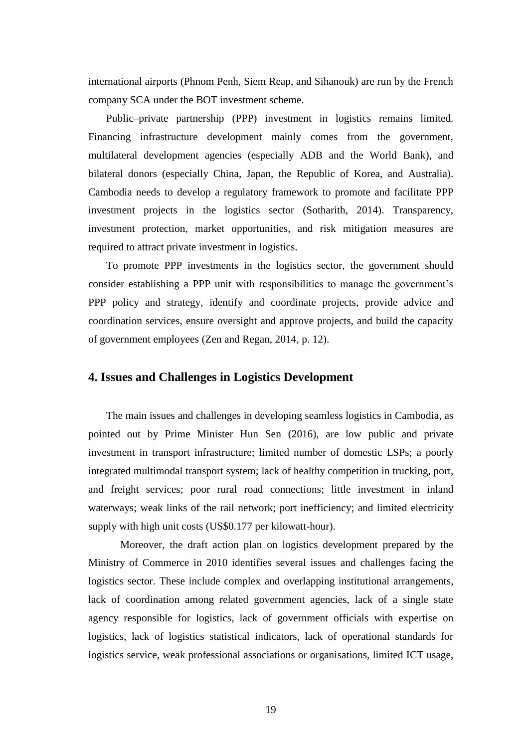international airports (Phnom Penh, Siem Reap, and Sihanouk) are run by the French company SCA under the BOT investment scheme.

Public–private partnership (PPP) investment in logistics remains limited. Financing infrastructure development mainly comes from the government, multilateral development agencies (especially ADB and the World Bank), and bilateral donors (especially China, Japan, the Republic of Korea, and Australia). Cambodia needs to develop a regulatory framework to promote and facilitate PPP investment projects in the logistics sector (Sotharith, 2014). Transparency, investment protection, market opportunities, and risk mitigation measures are required to attract private investment in logistics.

To promote PPP investments in the logistics sector, the government should consider establishing a PPP unit with responsibilities to manage the government's PPP policy and strategy, identify and coordinate projects, provide advice and coordination services, ensure oversight and approve projects, and build the capacity of government employees (Zen and Regan, 2014, p. 12).

# **4. Issues and Challenges in Logistics Development**

The main issues and challenges in developing seamless logistics in Cambodia, as pointed out by Prime Minister Hun Sen (2016), are low public and private investment in transport infrastructure; limited number of domestic LSPs; a poorly integrated multimodal transport system; lack of healthy competition in trucking, port, and freight services; poor rural road connections; little investment in inland waterways; weak links of the rail network; port inefficiency; and limited electricity supply with high unit costs (US\$0.177 per kilowatt-hour).

Moreover, the draft action plan on logistics development prepared by the Ministry of Commerce in 2010 identifies several issues and challenges facing the logistics sector. These include complex and overlapping institutional arrangements, lack of coordination among related government agencies, lack of a single state agency responsible for logistics, lack of government officials with expertise on logistics, lack of logistics statistical indicators, lack of operational standards for logistics service, weak professional associations or organisations, limited ICT usage,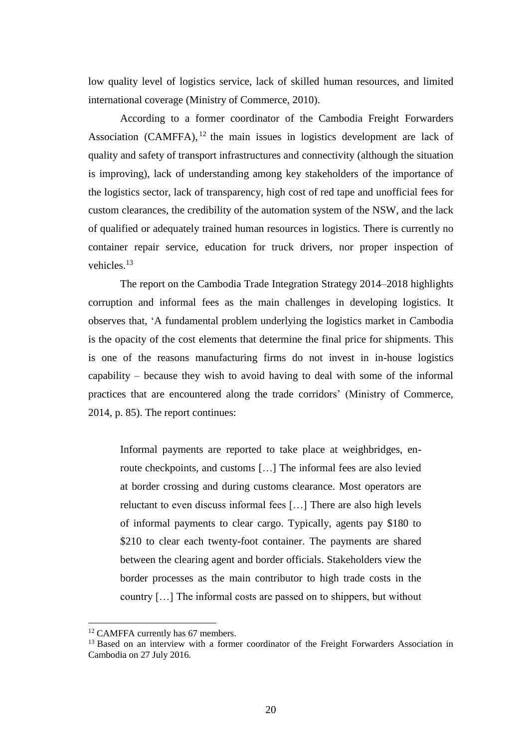low quality level of logistics service, lack of skilled human resources, and limited international coverage (Ministry of Commerce, 2010).

According to a former coordinator of the Cambodia Freight Forwarders Association (CAMFFA),  $12$  the main issues in logistics development are lack of quality and safety of transport infrastructures and connectivity (although the situation is improving), lack of understanding among key stakeholders of the importance of the logistics sector, lack of transparency, high cost of red tape and unofficial fees for custom clearances, the credibility of the automation system of the NSW, and the lack of qualified or adequately trained human resources in logistics. There is currently no container repair service, education for truck drivers, nor proper inspection of vehicles.<sup>13</sup>

The report on the Cambodia Trade Integration Strategy 2014–2018 highlights corruption and informal fees as the main challenges in developing logistics. It observes that, 'A fundamental problem underlying the logistics market in Cambodia is the opacity of the cost elements that determine the final price for shipments. This is one of the reasons manufacturing firms do not invest in in-house logistics capability – because they wish to avoid having to deal with some of the informal practices that are encountered along the trade corridors' (Ministry of Commerce, 2014, p. 85). The report continues:

Informal payments are reported to take place at weighbridges, enroute checkpoints, and customs […] The informal fees are also levied at border crossing and during customs clearance. Most operators are reluctant to even discuss informal fees […] There are also high levels of informal payments to clear cargo. Typically, agents pay \$180 to \$210 to clear each twenty-foot container. The payments are shared between the clearing agent and border officials. Stakeholders view the border processes as the main contributor to high trade costs in the country […] The informal costs are passed on to shippers, but without

<sup>&</sup>lt;sup>12</sup> CAMFFA currently has 67 members.

<sup>&</sup>lt;sup>13</sup> Based on an interview with a former coordinator of the Freight Forwarders Association in Cambodia on 27 July 2016.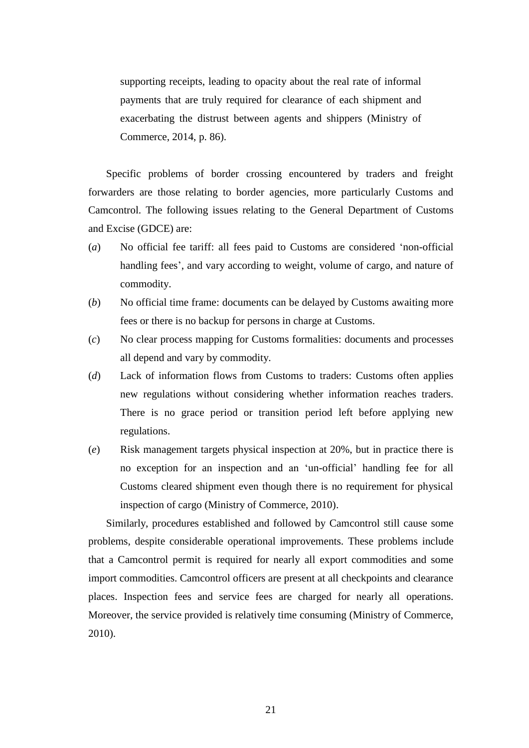supporting receipts, leading to opacity about the real rate of informal payments that are truly required for clearance of each shipment and exacerbating the distrust between agents and shippers (Ministry of Commerce, 2014, p. 86).

Specific problems of border crossing encountered by traders and freight forwarders are those relating to border agencies, more particularly Customs and Camcontrol. The following issues relating to the General Department of Customs and Excise (GDCE) are:

- (*a*) No official fee tariff: all fees paid to Customs are considered 'non-official handling fees', and vary according to weight, volume of cargo, and nature of commodity.
- (*b*) No official time frame: documents can be delayed by Customs awaiting more fees or there is no backup for persons in charge at Customs.
- (*c*) No clear process mapping for Customs formalities: documents and processes all depend and vary by commodity.
- (*d*) Lack of information flows from Customs to traders: Customs often applies new regulations without considering whether information reaches traders. There is no grace period or transition period left before applying new regulations.
- (*e*) Risk management targets physical inspection at 20%, but in practice there is no exception for an inspection and an 'un-official' handling fee for all Customs cleared shipment even though there is no requirement for physical inspection of cargo (Ministry of Commerce, 2010).

Similarly, procedures established and followed by Camcontrol still cause some problems, despite considerable operational improvements. These problems include that a Camcontrol permit is required for nearly all export commodities and some import commodities. Camcontrol officers are present at all checkpoints and clearance places. Inspection fees and service fees are charged for nearly all operations. Moreover, the service provided is relatively time consuming (Ministry of Commerce, 2010).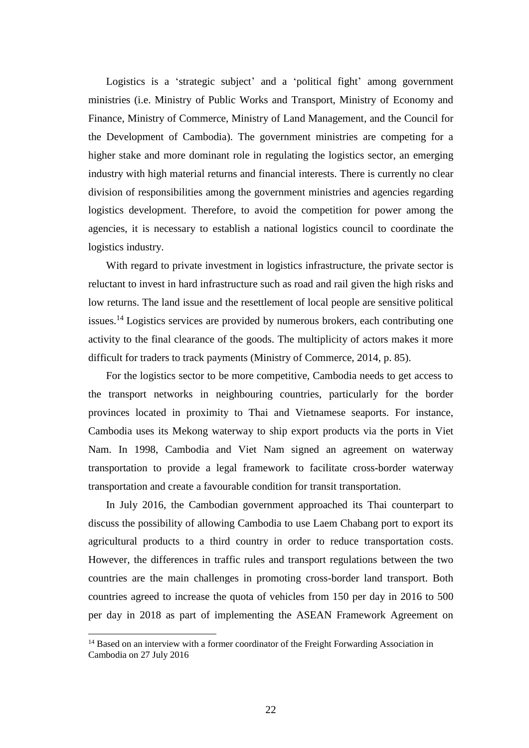Logistics is a 'strategic subject' and a 'political fight' among government ministries (i.e. Ministry of Public Works and Transport, Ministry of Economy and Finance, Ministry of Commerce, Ministry of Land Management, and the Council for the Development of Cambodia). The government ministries are competing for a higher stake and more dominant role in regulating the logistics sector, an emerging industry with high material returns and financial interests. There is currently no clear division of responsibilities among the government ministries and agencies regarding logistics development. Therefore, to avoid the competition for power among the agencies, it is necessary to establish a national logistics council to coordinate the logistics industry.

With regard to private investment in logistics infrastructure, the private sector is reluctant to invest in hard infrastructure such as road and rail given the high risks and low returns. The land issue and the resettlement of local people are sensitive political issues.<sup>14</sup> Logistics services are provided by numerous brokers, each contributing one activity to the final clearance of the goods. The multiplicity of actors makes it more difficult for traders to track payments (Ministry of Commerce, 2014, p. 85).

For the logistics sector to be more competitive, Cambodia needs to get access to the transport networks in neighbouring countries, particularly for the border provinces located in proximity to Thai and Vietnamese seaports. For instance, Cambodia uses its Mekong waterway to ship export products via the ports in Viet Nam. In 1998, Cambodia and Viet Nam signed an agreement on waterway transportation to provide a legal framework to facilitate cross-border waterway transportation and create a favourable condition for transit transportation.

In July 2016, the Cambodian government approached its Thai counterpart to discuss the possibility of allowing Cambodia to use Laem Chabang port to export its agricultural products to a third country in order to reduce transportation costs. However, the differences in traffic rules and transport regulations between the two countries are the main challenges in promoting cross-border land transport. Both countries agreed to increase the quota of vehicles from 150 per day in 2016 to 500 per day in 2018 as part of implementing the ASEAN Framework Agreement on

<sup>&</sup>lt;sup>14</sup> Based on an interview with a former coordinator of the Freight Forwarding Association in Cambodia on 27 July 2016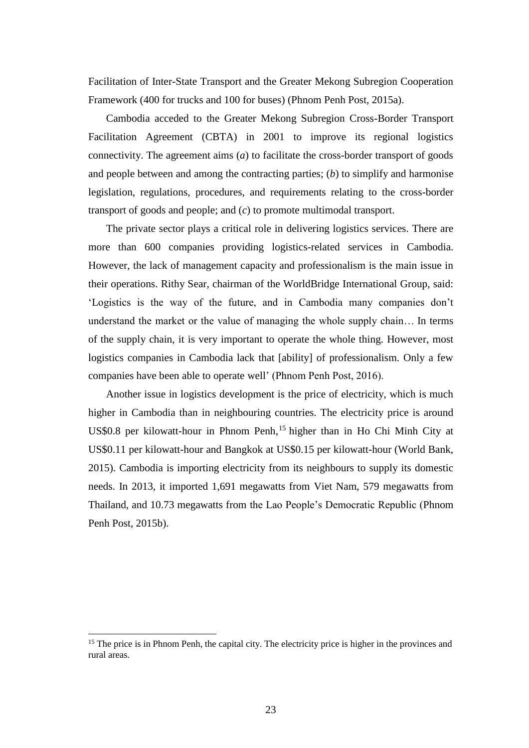Facilitation of Inter-State Transport and the Greater Mekong Subregion Cooperation Framework (400 for trucks and 100 for buses) (Phnom Penh Post, 2015a).

Cambodia acceded to the Greater Mekong Subregion Cross-Border Transport Facilitation Agreement (CBTA) in 2001 to improve its regional logistics connectivity. The agreement aims (*a*) to facilitate the cross-border transport of goods and people between and among the contracting parties; (*b*) to simplify and harmonise legislation, regulations, procedures, and requirements relating to the cross-border transport of goods and people; and (*c*) to promote multimodal transport.

The private sector plays a critical role in delivering logistics services. There are more than 600 companies providing logistics-related services in Cambodia. However, the lack of management capacity and professionalism is the main issue in their operations. Rithy Sear, chairman of the WorldBridge International Group, said: 'Logistics is the way of the future, and in Cambodia many companies don't understand the market or the value of managing the whole supply chain… In terms of the supply chain, it is very important to operate the whole thing. However, most logistics companies in Cambodia lack that [ability] of professionalism. Only a few companies have been able to operate well' (Phnom Penh Post, 2016).

Another issue in logistics development is the price of electricity, which is much higher in Cambodia than in neighbouring countries. The electricity price is around US\$0.8 per kilowatt-hour in Phnom Penh, <sup>15</sup> higher than in Ho Chi Minh City at US\$0.11 per kilowatt-hour and Bangkok at US\$0.15 per kilowatt-hour (World Bank, 2015). Cambodia is importing electricity from its neighbours to supply its domestic needs. In 2013, it imported 1,691 megawatts from Viet Nam, 579 megawatts from Thailand, and 10.73 megawatts from the Lao People's Democratic Republic (Phnom Penh Post, 2015b).

<sup>&</sup>lt;sup>15</sup> The price is in Phnom Penh, the capital city. The electricity price is higher in the provinces and rural areas.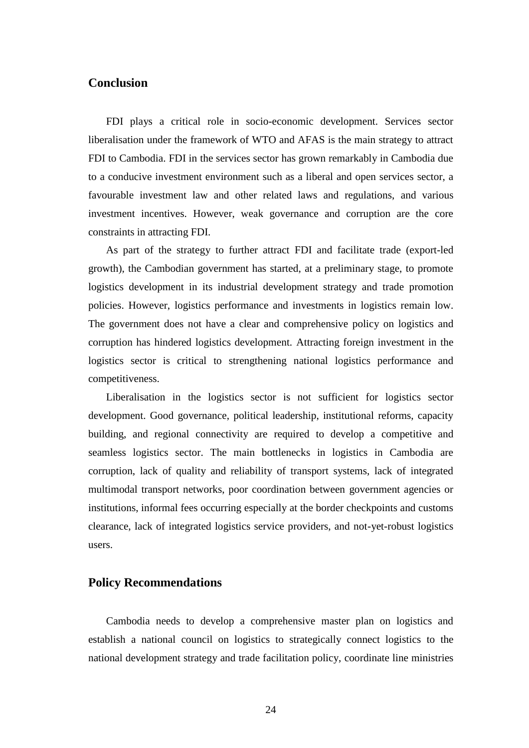# **Conclusion**

FDI plays a critical role in socio-economic development. Services sector liberalisation under the framework of WTO and AFAS is the main strategy to attract FDI to Cambodia. FDI in the services sector has grown remarkably in Cambodia due to a conducive investment environment such as a liberal and open services sector, a favourable investment law and other related laws and regulations, and various investment incentives. However, weak governance and corruption are the core constraints in attracting FDI.

As part of the strategy to further attract FDI and facilitate trade (export-led growth), the Cambodian government has started, at a preliminary stage, to promote logistics development in its industrial development strategy and trade promotion policies. However, logistics performance and investments in logistics remain low. The government does not have a clear and comprehensive policy on logistics and corruption has hindered logistics development. Attracting foreign investment in the logistics sector is critical to strengthening national logistics performance and competitiveness.

Liberalisation in the logistics sector is not sufficient for logistics sector development. Good governance, political leadership, institutional reforms, capacity building, and regional connectivity are required to develop a competitive and seamless logistics sector. The main bottlenecks in logistics in Cambodia are corruption, lack of quality and reliability of transport systems, lack of integrated multimodal transport networks, poor coordination between government agencies or institutions, informal fees occurring especially at the border checkpoints and customs clearance, lack of integrated logistics service providers, and not-yet-robust logistics users.

## **Policy Recommendations**

Cambodia needs to develop a comprehensive master plan on logistics and establish a national council on logistics to strategically connect logistics to the national development strategy and trade facilitation policy, coordinate line ministries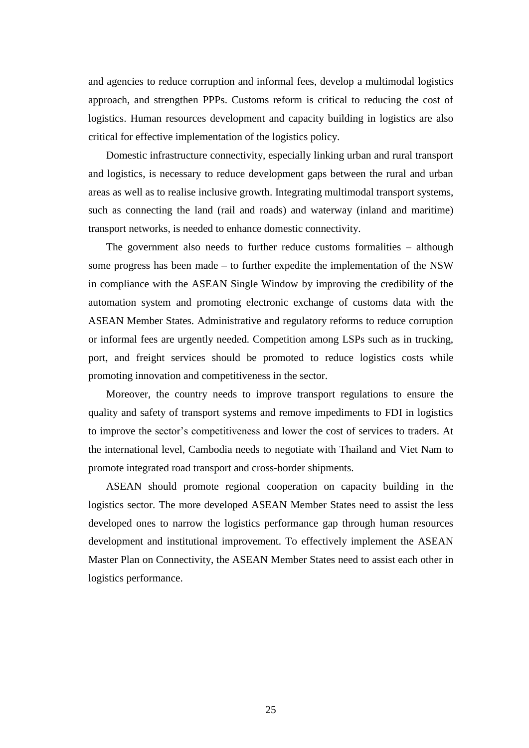and agencies to reduce corruption and informal fees, develop a multimodal logistics approach, and strengthen PPPs. Customs reform is critical to reducing the cost of logistics. Human resources development and capacity building in logistics are also critical for effective implementation of the logistics policy.

Domestic infrastructure connectivity, especially linking urban and rural transport and logistics, is necessary to reduce development gaps between the rural and urban areas as well as to realise inclusive growth. Integrating multimodal transport systems, such as connecting the land (rail and roads) and waterway (inland and maritime) transport networks, is needed to enhance domestic connectivity.

The government also needs to further reduce customs formalities – although some progress has been made – to further expedite the implementation of the NSW in compliance with the ASEAN Single Window by improving the credibility of the automation system and promoting electronic exchange of customs data with the ASEAN Member States. Administrative and regulatory reforms to reduce corruption or informal fees are urgently needed. Competition among LSPs such as in trucking, port, and freight services should be promoted to reduce logistics costs while promoting innovation and competitiveness in the sector.

Moreover, the country needs to improve transport regulations to ensure the quality and safety of transport systems and remove impediments to FDI in logistics to improve the sector's competitiveness and lower the cost of services to traders. At the international level, Cambodia needs to negotiate with Thailand and Viet Nam to promote integrated road transport and cross-border shipments.

ASEAN should promote regional cooperation on capacity building in the logistics sector. The more developed ASEAN Member States need to assist the less developed ones to narrow the logistics performance gap through human resources development and institutional improvement. To effectively implement the ASEAN Master Plan on Connectivity, the ASEAN Member States need to assist each other in logistics performance.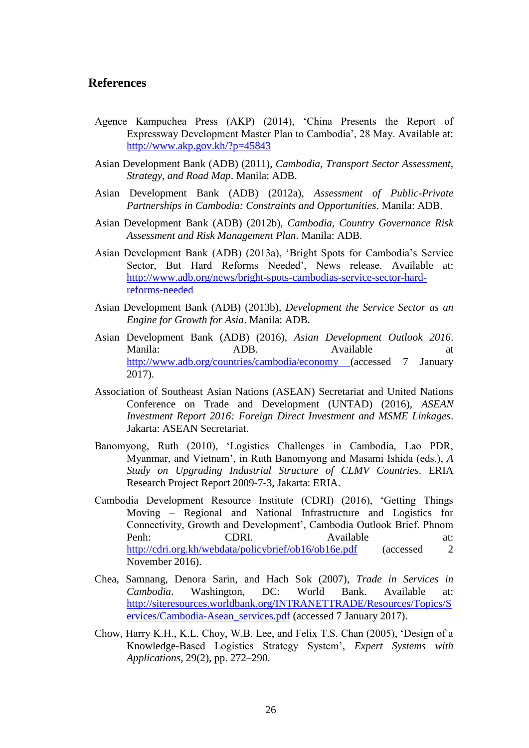# **References**

- Agence Kampuchea Press (AKP) (2014), 'China Presents the Report of Expressway Development Master Plan to Cambodia', 28 May. Available at: <http://www.akp.gov.kh/?p=45843>
- Asian Development Bank (ADB) (2011), *Cambodia, Transport Sector Assessment, Strategy, and Road Map*. Manila: ADB.
- Asian Development Bank (ADB) (2012a), *Assessment of Public-Private Partnerships in Cambodia: Constraints and Opportunities*. Manila: ADB.
- Asian Development Bank (ADB) (2012b), *Cambodia, Country Governance Risk Assessment and Risk Management Plan*. Manila: ADB.
- Asian Development Bank (ADB) (2013a), 'Bright Spots for Cambodia's Service Sector, But Hard Reforms Needed', News release. Available at: [http://www.adb.org/news/bright-spots-cambodias-service-sector-hard](http://www.adb.org/news/bright-spots-cambodias-service-sector-hard-reforms-needed)[reforms-needed](http://www.adb.org/news/bright-spots-cambodias-service-sector-hard-reforms-needed)
- Asian Development Bank (ADB) (2013b), *Development the Service Sector as an Engine for Growth for Asia*. Manila: ADB.
- Asian Development Bank (ADB) (2016), *Asian Development Outlook 2016*. Manila: ADB. Available at <http://www.adb.org/countries/cambodia/economy> (accessed 7 January 2017).
- Association of Southeast Asian Nations (ASEAN) Secretariat and United Nations Conference on Trade and Development (UNTAD) (2016), *ASEAN Investment Report 2016: Foreign Direct Investment and MSME Linkages*. Jakarta: ASEAN Secretariat.
- Banomyong, Ruth (2010), 'Logistics Challenges in Cambodia, Lao PDR, Myanmar, and Vietnam', in Ruth Banomyong and Masami Ishida (eds.), *A Study on Upgrading Industrial Structure of CLMV Countries*. ERIA Research Project Report 2009-7-3, Jakarta: ERIA.
- Cambodia Development Resource Institute (CDRI) (2016), 'Getting Things Moving – Regional and National Infrastructure and Logistics for Connectivity, Growth and Development', Cambodia Outlook Brief. Phnom Penh: CDRI. Available at: <http://cdri.org.kh/webdata/policybrief/ob16/ob16e.pdf> (accessed 2) November 2016).
- Chea, Samnang, Denora Sarin, and Hach Sok (2007), *Trade in Services in Cambodia*. Washington, DC: World Bank. Available at: [http://siteresources.worldbank.org/INTRANETTRADE/Resources/Topics/S](http://siteresources.worldbank.org/INTRANETTRADE/Resources/Topics/Services/Cambodia-Asean_services.pdf) [ervices/Cambodia-Asean\\_services.pdf](http://siteresources.worldbank.org/INTRANETTRADE/Resources/Topics/Services/Cambodia-Asean_services.pdf) (accessed 7 January 2017).
- Chow, Harry K.H., K.L. Choy, W.B. Lee, and Felix T.S. Chan (2005), 'Design of a Knowledge-Based Logistics Strategy System', *Expert Systems with Applications*, 29(2), pp. 272–290.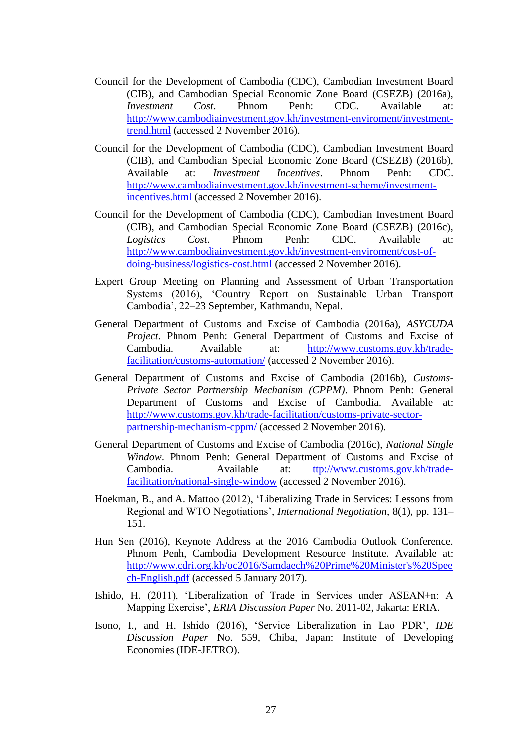- Council for the Development of Cambodia (CDC), Cambodian Investment Board (CIB), and Cambodian Special Economic Zone Board (CSEZB) (2016a), *Investment Cost*. Phnom Penh: CDC. Available at: [http://www.cambodiainvestment.gov.kh/investment-enviroment/investment](http://www.cambodiainvestment.gov.kh/investment-enviroment/investment-trend.html)[trend.html](http://www.cambodiainvestment.gov.kh/investment-enviroment/investment-trend.html) (accessed 2 November 2016).
- Council for the Development of Cambodia (CDC), Cambodian Investment Board (CIB), and Cambodian Special Economic Zone Board (CSEZB) (2016b), Available at: *Investment Incentives*. Phnom Penh: CDC. [http://www.cambodiainvestment.gov.kh/investment-scheme/investment](http://www.cambodiainvestment.gov.kh/investment-scheme/investment-incentives.html)[incentives.html](http://www.cambodiainvestment.gov.kh/investment-scheme/investment-incentives.html) (accessed 2 November 2016).
- Council for the Development of Cambodia (CDC), Cambodian Investment Board (CIB), and Cambodian Special Economic Zone Board (CSEZB) (2016c), *Logistics Cost*. Phnom Penh: CDC. Available at: [http://www.cambodiainvestment.gov.kh/investment-enviroment/cost-of](http://www.cambodiainvestment.gov.kh/investment-enviroment/cost-of-doing-business/logistics-cost.html)[doing-business/logistics-cost.html](http://www.cambodiainvestment.gov.kh/investment-enviroment/cost-of-doing-business/logistics-cost.html) (accessed 2 November 2016).
- Expert Group Meeting on Planning and Assessment of Urban Transportation Systems (2016), 'Country Report on Sustainable Urban Transport Cambodia', 22–23 September, Kathmandu, Nepal.
- General Department of Customs and Excise of Cambodia (2016a), *ASYCUDA Project*. Phnom Penh: General Department of Customs and Excise of Cambodia. Available at: [http://www.customs.gov.kh/trade](http://www.customs.gov.kh/trade-facilitation/customs-automation/)[facilitation/customs-automation/](http://www.customs.gov.kh/trade-facilitation/customs-automation/) (accessed 2 November 2016).
- General Department of Customs and Excise of Cambodia (2016b), *Customs-Private Sector Partnership Mechanism (CPPM)*. Phnom Penh: General Department of Customs and Excise of Cambodia. Available at: [http://www.customs.gov.kh/trade-facilitation/customs-private-sector](http://www.customs.gov.kh/trade-facilitation/customs-private-sector-partnership-mechanism-cppm/)[partnership-mechanism-cppm/](http://www.customs.gov.kh/trade-facilitation/customs-private-sector-partnership-mechanism-cppm/) (accessed 2 November 2016).
- General Department of Customs and Excise of Cambodia (2016c), *National Single Window*. Phnom Penh: General Department of Customs and Excise of Cambodia. [Available at: ttp://www.customs.gov.kh/trade](http://www.customs.gov.kh/trade-facilitation/national-single-window)[facilitation/national-single-window](http://www.customs.gov.kh/trade-facilitation/national-single-window) (accessed 2 November 2016).
- Hoekman, B., and A. Mattoo (2012), 'Liberalizing Trade in Services: Lessons from Regional and WTO Negotiations', *International Negotiation*, 8(1), pp. 131– 151.
- Hun Sen (2016), Keynote Address at the 2016 Cambodia Outlook Conference. Phnom Penh, Cambodia Development Resource Institute. Available at: [http://www.cdri.org.kh/oc2016/Samdaech%20Prime%20Minister's%20Spee](http://www.cdri.org.kh/oc2016/Samdaech%20Prime%20Minister) [ch-English.pdf](http://www.cdri.org.kh/oc2016/Samdaech%20Prime%20Minister) (accessed 5 January 2017).
- Ishido, H. (2011), 'Liberalization of Trade in Services under ASEAN+n: A Mapping Exercise', *ERIA Discussion Paper* No. 2011-02, Jakarta: ERIA.
- Isono, I., and H. Ishido (2016), 'Service Liberalization in Lao PDR', *IDE Discussion Paper* No. 559, Chiba, Japan: Institute of Developing Economies (IDE-JETRO).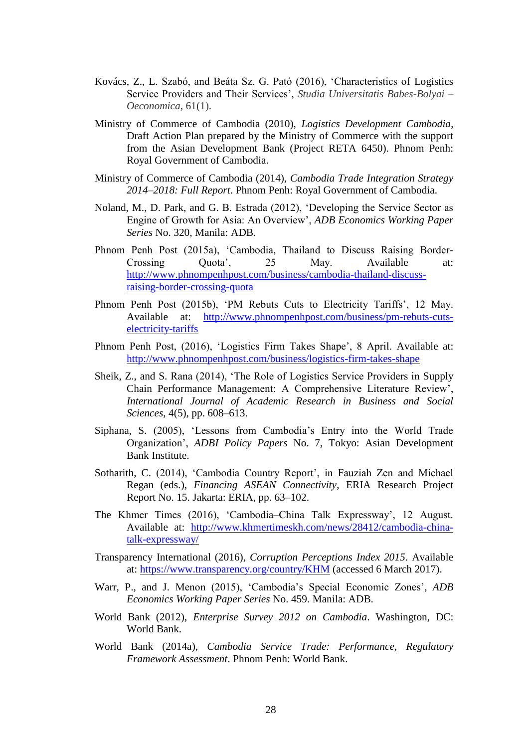- Kovács, Z., L. Szabó, and Beáta Sz. G. Pató (2016), 'Characteristics of Logistics Service Providers and Their Services', *Studia Universitatis Babes-Bolyai – Oeconomica*, 61(1).
- Ministry of Commerce of Cambodia (2010), *Logistics Development Cambodia*, Draft Action Plan prepared by the Ministry of Commerce with the support from the Asian Development Bank (Project RETA 6450). Phnom Penh: Royal Government of Cambodia.
- Ministry of Commerce of Cambodia (2014), *Cambodia Trade Integration Strategy 2014–2018: Full Report*. Phnom Penh: Royal Government of Cambodia.
- Noland, M., D. Park, and G. B. Estrada (2012), 'Developing the Service Sector as Engine of Growth for Asia: An Overview', *ADB Economics Working Paper Series* No. 320, Manila: ADB.
- Phnom Penh Post (2015a), 'Cambodia, Thailand to Discuss Raising Border-Crossing Quota', 25 May. Available at: [http://www.phnompenhpost.com/business/cambodia-thailand-discuss](http://www.phnompenhpost.com/business/cambodia-thailand-discuss-raising-border-crossing-quota)[raising-border-crossing-quota](http://www.phnompenhpost.com/business/cambodia-thailand-discuss-raising-border-crossing-quota)
- Phnom Penh Post (2015b), 'PM Rebuts Cuts to Electricity Tariffs', 12 May. Available at: [http://www.phnompenhpost.com/business/pm-rebuts-cuts](http://www.phnompenhpost.com/business/pm-rebuts-cuts-electricity-tariffs)[electricity-tariffs](http://www.phnompenhpost.com/business/pm-rebuts-cuts-electricity-tariffs)
- Phnom Penh Post, (2016), 'Logistics Firm Takes Shape', 8 April. Available at: <http://www.phnompenhpost.com/business/logistics-firm-takes-shape>
- Sheik, Z., and S. Rana (2014), 'The Role of Logistics Service Providers in Supply Chain Performance Management: A Comprehensive Literature Review', *International Journal of Academic Research in Business and Social Sciences*, 4(5), pp. 608–613.
- Siphana, S. (2005), 'Lessons from Cambodia's Entry into the World Trade Organization', *ADBI Policy Papers* No. 7, Tokyo: Asian Development Bank Institute.
- Sotharith, C. (2014), 'Cambodia Country Report', in Fauziah Zen and Michael Regan (eds.), *Financing ASEAN Connectivity*, ERIA Research Project Report No. 15. Jakarta: ERIA, pp. 63–102.
- The Khmer Times (2016), 'Cambodia–China Talk Expressway', 12 August. Available at: [http://www.khmertimeskh.com/news/28412/cambodia-china](http://www.khmertimeskh.com/news/28412/cambodia-china-talk-expressway/)[talk-expressway/](http://www.khmertimeskh.com/news/28412/cambodia-china-talk-expressway/)
- Transparency International (2016), *Corruption Perceptions Index 2015*. Available at:<https://www.transparency.org/country/KHM> (accessed 6 March 2017).
- Warr, P., and J. Menon (2015), 'Cambodia's Special Economic Zones', *ADB Economics Working Paper Series* No. 459. Manila: ADB.
- World Bank (2012), *Enterprise Survey 2012 on Cambodia*. Washington, DC: World Bank.
- World Bank (2014a), *Cambodia Service Trade: Performance, Regulatory Framework Assessment*. Phnom Penh: World Bank.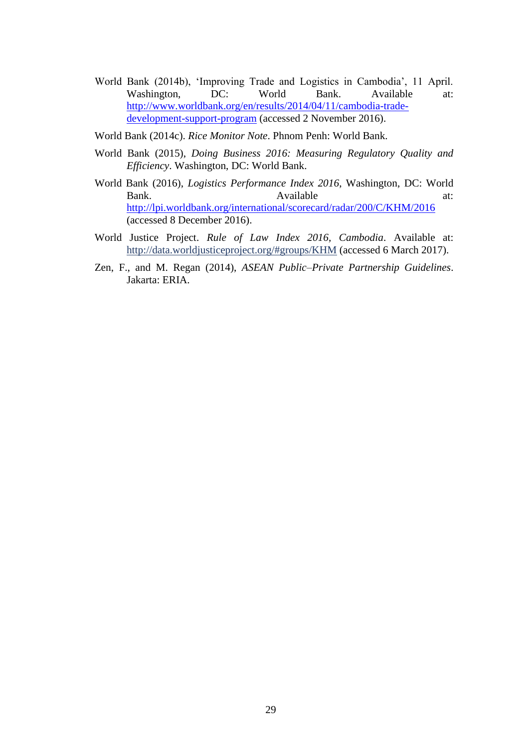- World Bank (2014b), 'Improving Trade and Logistics in Cambodia', 11 April. Washington, DC: World Bank. Available at: [http://www.worldbank.org/en/results/2014/04/11/cambodia-trade](http://www.worldbank.org/en/results/2014/04/11/cambodia-trade-development-support-program)[development-support-program](http://www.worldbank.org/en/results/2014/04/11/cambodia-trade-development-support-program) (accessed 2 November 2016).
- World Bank (2014c). *Rice Monitor Note*. Phnom Penh: World Bank.
- World Bank (2015), *Doing Business 2016: Measuring Regulatory Quality and Efficiency*. Washington, DC: World Bank.
- World Bank (2016), *Logistics Performance Index 2016*, Washington, DC: World Bank. **Available** at: **Available** at: <http://lpi.worldbank.org/international/scorecard/radar/200/C/KHM/2016> (accessed 8 December 2016).
- World Justice Project. *Rule of Law Index 2016, Cambodia*. Available at: <http://data.worldjusticeproject.org/#groups/KHM> (accessed 6 March 2017).
- Zen, F., and M. Regan (2014), *ASEAN Public–Private Partnership Guidelines*. Jakarta: ERIA.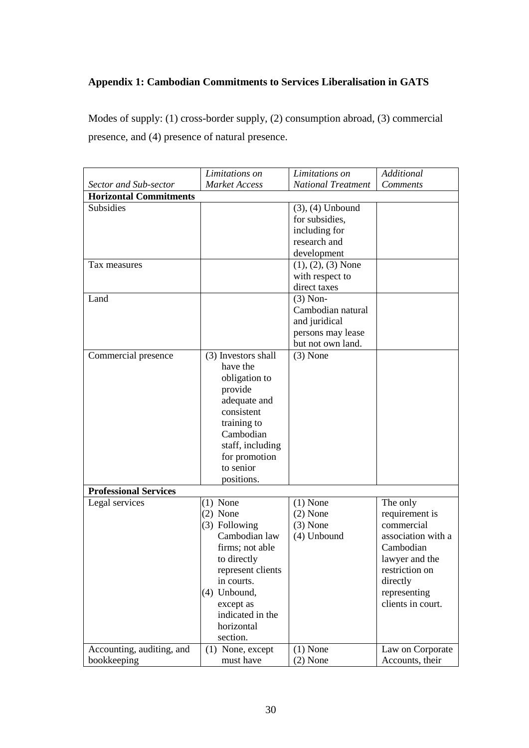# **Appendix 1: Cambodian Commitments to Services Liberalisation in GATS**

Modes of supply: (1) cross-border supply, (2) consumption abroad, (3) commercial presence, and (4) presence of natural presence.

|                               | Limitations on       | Limitations on            | Additional         |
|-------------------------------|----------------------|---------------------------|--------------------|
| Sector and Sub-sector         | <b>Market Access</b> | <b>National Treatment</b> | <i>Comments</i>    |
| <b>Horizontal Commitments</b> |                      |                           |                    |
| Subsidies                     |                      | $(3)$ , $(4)$ Unbound     |                    |
|                               |                      | for subsidies,            |                    |
|                               |                      | including for             |                    |
|                               |                      | research and              |                    |
|                               |                      | development               |                    |
| Tax measures                  |                      | $(1), (2), (3)$ None      |                    |
|                               |                      | with respect to           |                    |
|                               |                      | direct taxes              |                    |
| Land                          |                      | $(3)$ Non-                |                    |
|                               |                      | Cambodian natural         |                    |
|                               |                      | and juridical             |                    |
|                               |                      | persons may lease         |                    |
|                               |                      | but not own land.         |                    |
| Commercial presence           | (3) Investors shall  | $(3)$ None                |                    |
|                               | have the             |                           |                    |
|                               | obligation to        |                           |                    |
|                               | provide              |                           |                    |
|                               | adequate and         |                           |                    |
|                               | consistent           |                           |                    |
|                               | training to          |                           |                    |
|                               | Cambodian            |                           |                    |
|                               | staff, including     |                           |                    |
|                               | for promotion        |                           |                    |
|                               | to senior            |                           |                    |
|                               | positions.           |                           |                    |
| <b>Professional Services</b>  |                      |                           |                    |
| Legal services                | $(1)$ None           | $(1)$ None                | The only           |
|                               | $(2)$ None           | $(2)$ None                | requirement is     |
|                               | (3) Following        | $(3)$ None                | commercial         |
|                               | Cambodian law        | (4) Unbound               | association with a |
|                               | firms; not able      |                           | Cambodian          |
|                               | to directly          |                           | lawyer and the     |
|                               | represent clients    |                           | restriction on     |
|                               | in courts.           |                           | directly           |
|                               | (4) Unbound,         |                           | representing       |
|                               | except as            |                           | clients in court.  |
|                               | indicated in the     |                           |                    |
|                               | horizontal           |                           |                    |
|                               | section.             |                           |                    |
| Accounting, auditing, and     | (1) None, except     | $(1)$ None                | Law on Corporate   |
| bookkeeping                   | must have            | $(2)$ None                | Accounts, their    |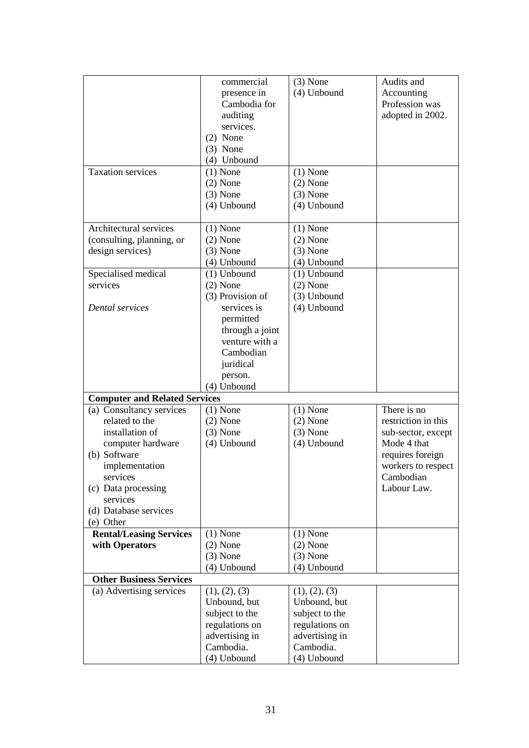|                                      | commercial       | $(3)$ None     | Audits and          |
|--------------------------------------|------------------|----------------|---------------------|
|                                      | presence in      | (4) Unbound    | Accounting          |
|                                      | Cambodia for     |                | Profession was      |
|                                      | auditing         |                | adopted in 2002.    |
|                                      | services.        |                |                     |
|                                      | $(2)$ None       |                |                     |
|                                      | $(3)$ None       |                |                     |
|                                      | (4) Unbound      |                |                     |
| <b>Taxation services</b>             | $(1)$ None       | $(1)$ None     |                     |
|                                      | $(2)$ None       | $(2)$ None     |                     |
|                                      | $(3)$ None       | $(3)$ None     |                     |
|                                      | (4) Unbound      | $(4)$ Unbound  |                     |
|                                      |                  |                |                     |
| Architectural services               | $(1)$ None       | $(1)$ None     |                     |
| (consulting, planning, or            | $(2)$ None       | $(2)$ None     |                     |
| design services)                     | $(3)$ None       | $(3)$ None     |                     |
|                                      | (4) Unbound      | (4) Unbound    |                     |
| Specialised medical                  | (1) Unbound      | $(1)$ Unbound  |                     |
| services                             | $(2)$ None       | $(2)$ None     |                     |
|                                      | (3) Provision of | (3) Unbound    |                     |
| Dental services                      | services is      | (4) Unbound    |                     |
|                                      | permitted        |                |                     |
|                                      | through a joint  |                |                     |
|                                      | venture with a   |                |                     |
|                                      | Cambodian        |                |                     |
|                                      | juridical        |                |                     |
|                                      | person.          |                |                     |
|                                      | (4) Unbound      |                |                     |
| <b>Computer and Related Services</b> |                  |                |                     |
| (a) Consultancy services             | $(1)$ None       | $(1)$ None     | There is no         |
| related to the                       | $(2)$ None       | $(2)$ None     | restriction in this |
| installation of                      | $(3)$ None       | $(3)$ None     | sub-sector, except  |
| computer hardware                    | (4) Unbound      | (4) Unbound    | Mode 4 that         |
| (b) Software                         |                  |                | requires foreign    |
| implementation                       |                  |                | workers to respect  |
| services                             |                  |                | Cambodian           |
| (c) Data processing                  |                  |                | Labour Law.         |
| services                             |                  |                |                     |
| (d) Database services                |                  |                |                     |
| (e) Other                            |                  |                |                     |
| <b>Rental/Leasing Services</b>       | $(1)$ None       | $(1)$ None     |                     |
| with Operators                       | $(2)$ None       | $(2)$ None     |                     |
|                                      | $(3)$ None       | $(3)$ None     |                     |
|                                      | (4) Unbound      | (4) Unbound    |                     |
| <b>Other Business Services</b>       |                  |                |                     |
| (a) Advertising services             | (1), (2), (3)    | (1), (2), (3)  |                     |
|                                      | Unbound, but     | Unbound, but   |                     |
|                                      | subject to the   | subject to the |                     |
|                                      | regulations on   | regulations on |                     |
|                                      | advertising in   | advertising in |                     |
|                                      | Cambodia.        | Cambodia.      |                     |
|                                      | (4) Unbound      | (4) Unbound    |                     |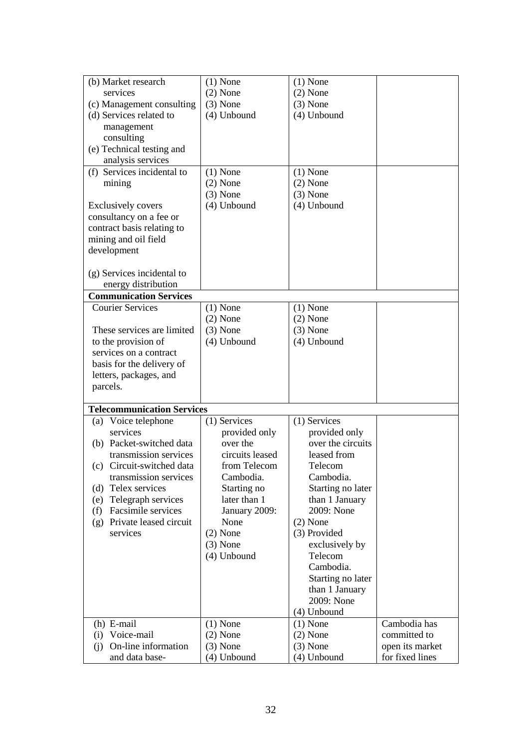| (b) Market research               | $(1)$ None                | $(1)$ None                         |                 |
|-----------------------------------|---------------------------|------------------------------------|-----------------|
| services                          | $(2)$ None                | $(2)$ None                         |                 |
| (c) Management consulting         | $(3)$ None                | $(3)$ None                         |                 |
| (d) Services related to           | (4) Unbound               | (4) Unbound                        |                 |
| management                        |                           |                                    |                 |
| consulting                        |                           |                                    |                 |
| (e) Technical testing and         |                           |                                    |                 |
| analysis services                 |                           |                                    |                 |
| (f) Services incidental to        | $(1)$ None                | $(1)$ None                         |                 |
| mining                            | $(2)$ None                | $(2)$ None                         |                 |
|                                   | $(3)$ None                | $(3)$ None                         |                 |
| <b>Exclusively covers</b>         | (4) Unbound               | $(4)$ Unbound                      |                 |
| consultancy on a fee or           |                           |                                    |                 |
| contract basis relating to        |                           |                                    |                 |
| mining and oil field              |                           |                                    |                 |
| development                       |                           |                                    |                 |
|                                   |                           |                                    |                 |
| (g) Services incidental to        |                           |                                    |                 |
| energy distribution               |                           |                                    |                 |
| <b>Communication Services</b>     |                           |                                    |                 |
| <b>Courier Services</b>           | $(1)$ None                | $(1)$ None                         |                 |
|                                   | $(2)$ None                | $(2)$ None                         |                 |
| These services are limited        | $(3)$ None                | $(3)$ None                         |                 |
| to the provision of               | (4) Unbound               | (4) Unbound                        |                 |
| services on a contract            |                           |                                    |                 |
| basis for the delivery of         |                           |                                    |                 |
| letters, packages, and            |                           |                                    |                 |
| parcels.                          |                           |                                    |                 |
| <b>Telecommunication Services</b> |                           |                                    |                 |
|                                   | (1) Services              | (1) Services                       |                 |
| (a) Voice telephone<br>services   |                           |                                    |                 |
| (b) Packet-switched data          | provided only<br>over the | provided only<br>over the circuits |                 |
| transmission services             | circuits leased           | leased from                        |                 |
| (c) Circuit-switched data         | from Telecom              | Telecom                            |                 |
| transmission services             | Cambodia.                 | Cambodia.                          |                 |
| (d) Telex services                | Starting no               | Starting no later                  |                 |
| Telegraph services<br>(e)         | later than 1              | than 1 January                     |                 |
| Facsimile services<br>(f)         | January 2009:             | 2009: None                         |                 |
| (g) Private leased circuit        | None                      | $(2)$ None                         |                 |
| services                          | $(2)$ None                | (3) Provided                       |                 |
|                                   | $(3)$ None                | exclusively by                     |                 |
|                                   | (4) Unbound               | Telecom                            |                 |
|                                   |                           | Cambodia.                          |                 |
|                                   |                           | Starting no later                  |                 |
|                                   |                           | than 1 January                     |                 |
|                                   |                           | 2009: None                         |                 |
|                                   |                           | $(4)$ Unbound                      |                 |
| $(h)$ E-mail                      | $(1)$ None                | $(1)$ None                         | Cambodia has    |
| (i) Voice-mail                    | $(2)$ None                | $(2)$ None                         | committed to    |
| On-line information<br>(i)        | $(3)$ None                | $(3)$ None                         | open its market |
| and data base-                    | (4) Unbound               | (4) Unbound                        | for fixed lines |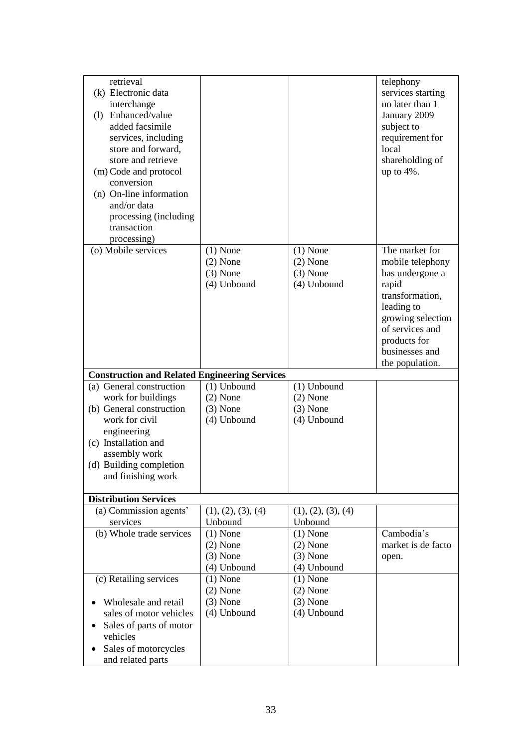| retrieval<br>(k) Electronic data<br>interchange<br>(1) Enhanced/value<br>added facsimile<br>services, including<br>store and forward,<br>store and retrieve<br>(m) Code and protocol<br>conversion<br>(n) On-line information<br>and/or data<br>processing (including<br>transaction<br>processing) |                                                                                        |                                                                                        | telephony<br>services starting<br>no later than 1<br>January 2009<br>subject to<br>requirement for<br>local<br>shareholding of<br>up to $4\%$ .                                              |
|-----------------------------------------------------------------------------------------------------------------------------------------------------------------------------------------------------------------------------------------------------------------------------------------------------|----------------------------------------------------------------------------------------|----------------------------------------------------------------------------------------|----------------------------------------------------------------------------------------------------------------------------------------------------------------------------------------------|
| (o) Mobile services                                                                                                                                                                                                                                                                                 | $(1)$ None<br>$(2)$ None<br>$(3)$ None<br>(4) Unbound                                  | $(1)$ None<br>$(2)$ None<br>$(3)$ None<br>$(4)$ Unbound                                | The market for<br>mobile telephony<br>has undergone a<br>rapid<br>transformation,<br>leading to<br>growing selection<br>of services and<br>products for<br>businesses and<br>the population. |
| <b>Construction and Related Engineering Services</b>                                                                                                                                                                                                                                                |                                                                                        |                                                                                        |                                                                                                                                                                                              |
| (a) General construction<br>work for buildings<br>(b) General construction<br>work for civil<br>engineering<br>(c) Installation and<br>assembly work<br>(d) Building completion<br>and finishing work<br><b>Distribution Services</b>                                                               | $(1)$ Unbound<br>$(2)$ None<br>$(3)$ None<br>(4) Unbound                               | $(1)$ Unbound<br>$(2)$ None<br>$(3)$ None<br>(4) Unbound                               |                                                                                                                                                                                              |
|                                                                                                                                                                                                                                                                                                     |                                                                                        |                                                                                        |                                                                                                                                                                                              |
| (a) Commission agents'<br>services<br>(b) Whole trade services                                                                                                                                                                                                                                      | (1), (2), (3), (4)<br>Unbound<br>$(1)$ None<br>$(2)$ None<br>$(3)$ None<br>(4) Unbound | (1), (2), (3), (4)<br>Unbound<br>$(1)$ None<br>$(2)$ None<br>$(3)$ None<br>(4) Unbound | Cambodia's<br>market is de facto<br>open.                                                                                                                                                    |
| (c) Retailing services<br>Wholesale and retail<br>sales of motor vehicles<br>Sales of parts of motor<br>vehicles<br>Sales of motorcycles<br>and related parts                                                                                                                                       | $(1)$ None<br>$(2)$ None<br>$(3)$ None<br>(4) Unbound                                  | $(1)$ None<br>$(2)$ None<br>$(3)$ None<br>$(4)$ Unbound                                |                                                                                                                                                                                              |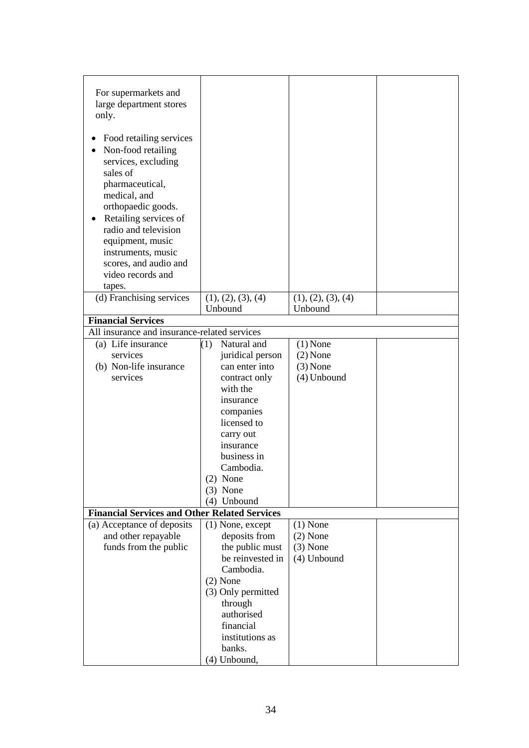| For supermarkets and<br>large department stores<br>only.                                                                                                                                                                                                                                     |                         |                    |  |
|----------------------------------------------------------------------------------------------------------------------------------------------------------------------------------------------------------------------------------------------------------------------------------------------|-------------------------|--------------------|--|
| Food retailing services<br>Non-food retailing<br>services, excluding<br>sales of<br>pharmaceutical,<br>medical, and<br>orthopaedic goods.<br>Retailing services of<br>radio and television<br>equipment, music<br>instruments, music<br>scores, and audio and<br>video records and<br>tapes. |                         |                    |  |
| (d) Franchising services                                                                                                                                                                                                                                                                     | (1), (2), (3), (4)      | (1), (2), (3), (4) |  |
|                                                                                                                                                                                                                                                                                              | Unbound                 | Unbound            |  |
| <b>Financial Services</b><br>All insurance and insurance-related services                                                                                                                                                                                                                    |                         |                    |  |
|                                                                                                                                                                                                                                                                                              | Natural and             | $(1)$ None         |  |
| (a) Life insurance<br>services                                                                                                                                                                                                                                                               | (1)<br>juridical person | $(2)$ None         |  |
| (b) Non-life insurance                                                                                                                                                                                                                                                                       | can enter into          | $(3)$ None         |  |
| services                                                                                                                                                                                                                                                                                     | contract only           | (4) Unbound        |  |
|                                                                                                                                                                                                                                                                                              | with the                |                    |  |
|                                                                                                                                                                                                                                                                                              | insurance               |                    |  |
|                                                                                                                                                                                                                                                                                              | companies               |                    |  |
|                                                                                                                                                                                                                                                                                              | licensed to             |                    |  |
|                                                                                                                                                                                                                                                                                              | carry out               |                    |  |
|                                                                                                                                                                                                                                                                                              | insurance               |                    |  |
|                                                                                                                                                                                                                                                                                              | business in             |                    |  |
|                                                                                                                                                                                                                                                                                              | Cambodia.               |                    |  |
|                                                                                                                                                                                                                                                                                              | $(2)$ None              |                    |  |
|                                                                                                                                                                                                                                                                                              | $(3)$ None              |                    |  |
|                                                                                                                                                                                                                                                                                              | (4) Unbound             |                    |  |
| <b>Financial Services and Other Related Services</b>                                                                                                                                                                                                                                         |                         |                    |  |
| (a) Acceptance of deposits                                                                                                                                                                                                                                                                   | $(1)$ None, except      | $(1)$ None         |  |
| and other repayable                                                                                                                                                                                                                                                                          | deposits from           | $(2)$ None         |  |
| funds from the public                                                                                                                                                                                                                                                                        | the public must         | $(3)$ None         |  |
|                                                                                                                                                                                                                                                                                              | be reinvested in        | (4) Unbound        |  |
|                                                                                                                                                                                                                                                                                              | Cambodia.               |                    |  |
|                                                                                                                                                                                                                                                                                              | $(2)$ None              |                    |  |
|                                                                                                                                                                                                                                                                                              | (3) Only permitted      |                    |  |
|                                                                                                                                                                                                                                                                                              | through                 |                    |  |
|                                                                                                                                                                                                                                                                                              | authorised<br>financial |                    |  |
|                                                                                                                                                                                                                                                                                              | institutions as         |                    |  |
|                                                                                                                                                                                                                                                                                              | banks.                  |                    |  |
|                                                                                                                                                                                                                                                                                              | (4) Unbound,            |                    |  |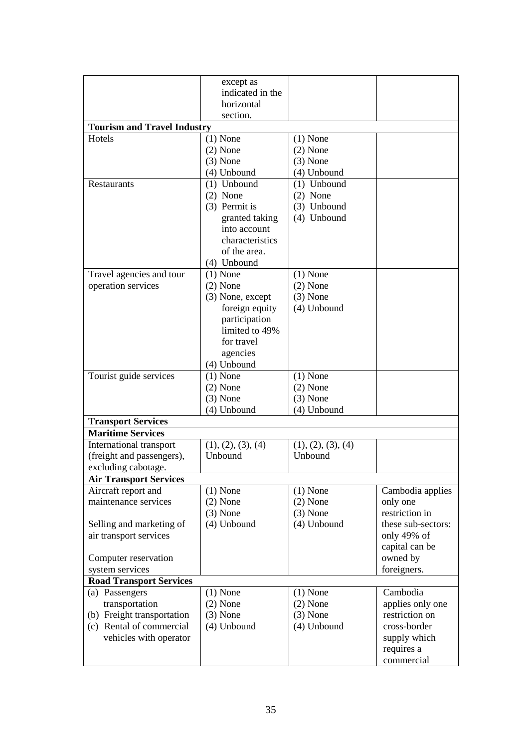|                                                       | except as              |                    |                    |
|-------------------------------------------------------|------------------------|--------------------|--------------------|
|                                                       | indicated in the       |                    |                    |
|                                                       | horizontal<br>section. |                    |                    |
| <b>Tourism and Travel Industry</b>                    |                        |                    |                    |
| Hotels                                                | $(1)$ None             | $(1)$ None         |                    |
|                                                       | $(2)$ None             | $(2)$ None         |                    |
|                                                       | $(3)$ None             | $(3)$ None         |                    |
|                                                       | (4) Unbound            | (4) Unbound        |                    |
| <b>Restaurants</b>                                    | $(1)$ Unbound          | $(1)$ Unbound      |                    |
|                                                       | $(2)$ None             | $(2)$ None         |                    |
|                                                       | (3) Permit is          | (3) Unbound        |                    |
|                                                       | granted taking         | (4) Unbound        |                    |
|                                                       | into account           |                    |                    |
|                                                       | characteristics        |                    |                    |
|                                                       | of the area.           |                    |                    |
|                                                       | (4) Unbound            |                    |                    |
| Travel agencies and tour                              | $(1)$ None             | $(1)$ None         |                    |
| operation services                                    | $(2)$ None             | $(2)$ None         |                    |
|                                                       | (3) None, except       | $(3)$ None         |                    |
|                                                       | foreign equity         | (4) Unbound        |                    |
|                                                       | participation          |                    |                    |
|                                                       | limited to 49%         |                    |                    |
|                                                       | for travel             |                    |                    |
|                                                       | agencies               |                    |                    |
|                                                       | (4) Unbound            |                    |                    |
| Tourist guide services                                | $(1)$ None             | $(1)$ None         |                    |
|                                                       | $(2)$ None             | $(2)$ None         |                    |
|                                                       | $(3)$ None             | $(3)$ None         |                    |
|                                                       | (4) Unbound            | (4) Unbound        |                    |
| <b>Transport Services</b><br><b>Maritime Services</b> |                        |                    |                    |
| International transport                               | (1), (2), (3), (4)     | (1), (2), (3), (4) |                    |
| (freight and passengers),                             | Unbound                | Unbound            |                    |
| excluding cabotage.                                   |                        |                    |                    |
| <b>Air Transport Services</b>                         |                        |                    |                    |
| Aircraft report and                                   | $(1)$ None             | $(1)$ None         | Cambodia applies   |
| maintenance services                                  | $(2)$ None             | $(2)$ None         | only one           |
|                                                       | $(3)$ None             | $(3)$ None         | restriction in     |
| Selling and marketing of                              | (4) Unbound            | (4) Unbound        | these sub-sectors: |
| air transport services                                |                        |                    | only 49% of        |
|                                                       |                        |                    | capital can be     |
| Computer reservation                                  |                        |                    | owned by           |
| system services                                       |                        |                    | foreigners.        |
| <b>Road Transport Services</b>                        |                        |                    |                    |
| (a) Passengers                                        | $(1)$ None             | $(1)$ None         | Cambodia           |
| transportation                                        | $(2)$ None             | $(2)$ None         | applies only one   |
| (b) Freight transportation                            | $(3)$ None             | $(3)$ None         | restriction on     |
| (c) Rental of commercial                              | (4) Unbound            | (4) Unbound        | cross-border       |
| vehicles with operator                                |                        |                    | supply which       |
|                                                       |                        |                    | requires a         |
|                                                       |                        |                    | commercial         |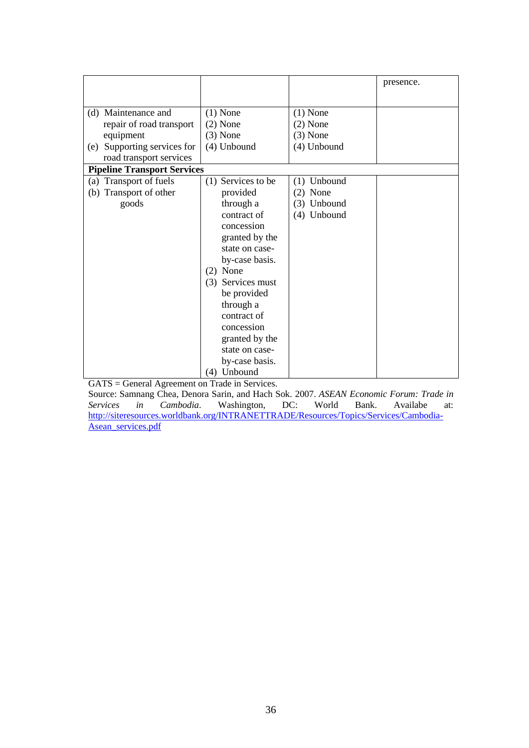|                                    |                    |               | presence. |
|------------------------------------|--------------------|---------------|-----------|
|                                    |                    |               |           |
| (d) Maintenance and                | $(1)$ None         | $(1)$ None    |           |
| repair of road transport           | $(2)$ None         | $(2)$ None    |           |
| equipment                          | $(3)$ None         | $(3)$ None    |           |
| Supporting services for<br>(e)     | (4) Unbound        | (4) Unbound   |           |
| road transport services            |                    |               |           |
| <b>Pipeline Transport Services</b> |                    |               |           |
| Transport of fuels<br>(a)          | (1) Services to be | $(1)$ Unbound |           |
| (b) Transport of other             | provided           | $(2)$ None    |           |
| goods                              | through a          | (3) Unbound   |           |
|                                    | contract of        | (4) Unbound   |           |
|                                    | concession         |               |           |
|                                    | granted by the     |               |           |
|                                    | state on case-     |               |           |
|                                    | by-case basis.     |               |           |
|                                    | $(2)$ None         |               |           |
|                                    | (3) Services must  |               |           |
|                                    | be provided        |               |           |
|                                    | through a          |               |           |
|                                    | contract of        |               |           |
|                                    | concession         |               |           |
|                                    | granted by the     |               |           |
|                                    | state on case-     |               |           |
|                                    | by-case basis.     |               |           |
|                                    | (4) Unbound        |               |           |

GATS = General Agreement on Trade in Services.

Source: Samnang Chea, Denora Sarin, and Hach Sok. 2007. *ASEAN Economic Forum: Trade in*  Washington, [http://siteresources.worldbank.org/INTRANETTRADE/Resources/Topics/Services/Cambodia-](http://siteresources.worldbank.org/INTRANETTRADE/Resources/Topics/Services/Cambodia-Asean_services.pdf)Asean services.pdf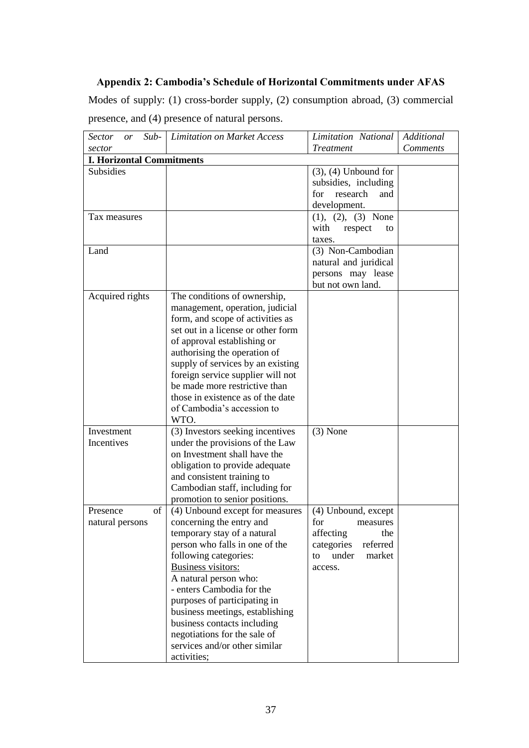# **Appendix 2: Cambodia's Schedule of Horizontal Commitments under AFAS**

Modes of supply: (1) cross-border supply, (2) consumption abroad, (3) commercial presence, and (4) presence of natural persons.

| $Sub-$<br>Sector<br>or           | <b>Limitation on Market Access</b> | Limitation National       | Additional |
|----------------------------------|------------------------------------|---------------------------|------------|
| sector                           |                                    | <b>Treatment</b>          | Comments   |
| <b>I. Horizontal Commitments</b> |                                    |                           |            |
| Subsidies                        |                                    | $(3)$ , $(4)$ Unbound for |            |
|                                  |                                    | subsidies, including      |            |
|                                  |                                    | research<br>for<br>and    |            |
|                                  |                                    | development.              |            |
| Tax measures                     |                                    | $(1), (2), (3)$ None      |            |
|                                  |                                    | with<br>respect<br>to     |            |
|                                  |                                    | taxes.                    |            |
| Land                             |                                    | (3) Non-Cambodian         |            |
|                                  |                                    | natural and juridical     |            |
|                                  |                                    | persons may lease         |            |
|                                  |                                    | but not own land.         |            |
| Acquired rights                  | The conditions of ownership,       |                           |            |
|                                  | management, operation, judicial    |                           |            |
|                                  | form, and scope of activities as   |                           |            |
|                                  | set out in a license or other form |                           |            |
|                                  | of approval establishing or        |                           |            |
|                                  | authorising the operation of       |                           |            |
|                                  | supply of services by an existing  |                           |            |
|                                  | foreign service supplier will not  |                           |            |
|                                  | be made more restrictive than      |                           |            |
|                                  | those in existence as of the date  |                           |            |
|                                  | of Cambodia's accession to         |                           |            |
|                                  | WTO.                               |                           |            |
| Investment                       | (3) Investors seeking incentives   | $(3)$ None                |            |
| Incentives                       | under the provisions of the Law    |                           |            |
|                                  | on Investment shall have the       |                           |            |
|                                  | obligation to provide adequate     |                           |            |
|                                  | and consistent training to         |                           |            |
|                                  | Cambodian staff, including for     |                           |            |
|                                  | promotion to senior positions.     |                           |            |
| of<br>Presence                   | (4) Unbound except for measures    | (4) Unbound, except       |            |
| natural persons                  | concerning the entry and           | for<br>measures           |            |
|                                  | temporary stay of a natural        | affecting<br>the          |            |
|                                  | person who falls in one of the     | categories<br>referred    |            |
|                                  | following categories:              | under<br>market<br>to     |            |
|                                  | <b>Business visitors:</b>          | access.                   |            |
|                                  | A natural person who:              |                           |            |
|                                  | - enters Cambodia for the          |                           |            |
|                                  | purposes of participating in       |                           |            |
|                                  | business meetings, establishing    |                           |            |
|                                  | business contacts including        |                           |            |
|                                  | negotiations for the sale of       |                           |            |
|                                  | services and/or other similar      |                           |            |
|                                  | activities;                        |                           |            |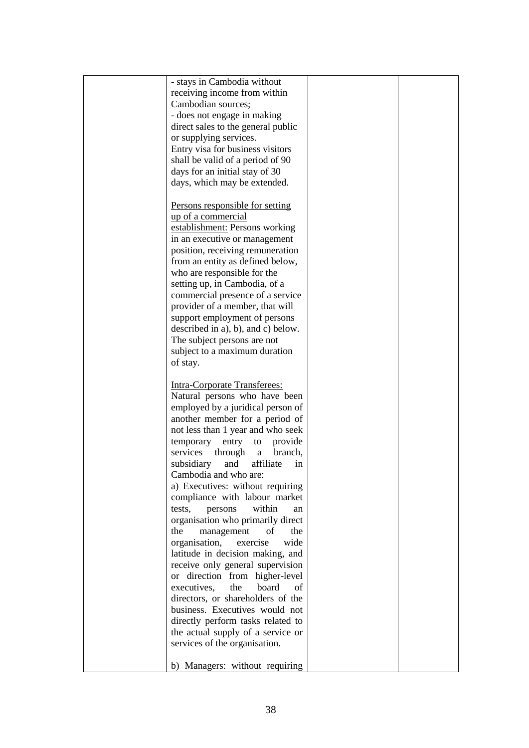| - stays in Cambodia without          |  |
|--------------------------------------|--|
| receiving income from within         |  |
| Cambodian sources;                   |  |
| - does not engage in making          |  |
| direct sales to the general public   |  |
| or supplying services.               |  |
| Entry visa for business visitors     |  |
| shall be valid of a period of 90     |  |
| days for an initial stay of 30       |  |
| days, which may be extended.         |  |
|                                      |  |
| Persons responsible for setting      |  |
| up of a commercial                   |  |
| establishment: Persons working       |  |
| in an executive or management        |  |
| position, receiving remuneration     |  |
| from an entity as defined below,     |  |
| who are responsible for the          |  |
| setting up, in Cambodia, of a        |  |
| commercial presence of a service     |  |
| provider of a member, that will      |  |
| support employment of persons        |  |
| described in a), b), and c) below.   |  |
| The subject persons are not          |  |
| subject to a maximum duration        |  |
| of stay.                             |  |
|                                      |  |
| <b>Intra-Corporate Transferees:</b>  |  |
| Natural persons who have been        |  |
| employed by a juridical person of    |  |
| another member for a period of       |  |
| not less than 1 year and who seek    |  |
| entry<br>provide<br>temporary<br>to  |  |
| services<br>through<br>branch.<br>a  |  |
| subsidiary<br>affiliate<br>and<br>1n |  |
| Cambodia and who are:                |  |
| a) Executives: without requiring     |  |
| compliance with labour market        |  |
| within<br>tests,<br>persons<br>an    |  |
| organisation who primarily direct    |  |
| the<br>of<br>the<br>management       |  |
| exercise<br>wide<br>organisation,    |  |
| latitude in decision making, and     |  |
| receive only general supervision     |  |
| or direction from higher-level       |  |
| executives,<br>the<br>board<br>of    |  |
| directors, or shareholders of the    |  |
| business. Executives would not       |  |
| directly perform tasks related to    |  |
| the actual supply of a service or    |  |
| services of the organisation.        |  |
|                                      |  |
| b) Managers: without requiring       |  |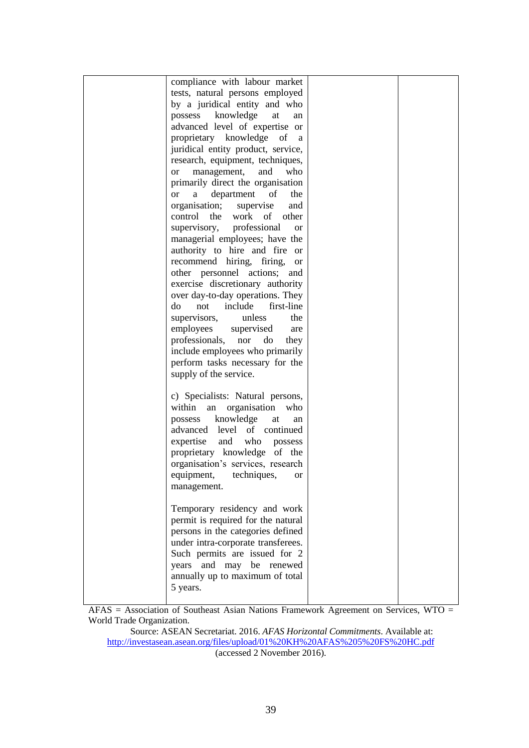| compliance with labour market<br>tests, natural persons employed<br>by a juridical entity and who<br>knowledge<br>possess<br>at<br>an<br>advanced level of expertise or<br>proprietary knowledge of<br>a<br>juridical entity product, service,<br>research, equipment, techniques,<br>management,<br>and<br>who<br><sub>or</sub><br>primarily direct the organisation<br>department<br>a<br>of<br>the<br><sub>or</sub><br>organisation;<br>supervise<br>and<br>control<br>the<br>work of<br>other<br>supervisory, professional<br><sub>or</sub><br>managerial employees; have the<br>authority to hire and fire or<br>recommend hiring, firing,<br><sub>or</sub><br>other personnel actions;<br>and<br>exercise discretionary authority<br>over day-to-day operations. They<br>include<br>first-line<br>do<br>not<br>supervisors,<br>unless<br>the<br>employees<br>supervised<br>are<br>professionals,<br>nor<br>do<br>they<br>include employees who primarily |  |
|----------------------------------------------------------------------------------------------------------------------------------------------------------------------------------------------------------------------------------------------------------------------------------------------------------------------------------------------------------------------------------------------------------------------------------------------------------------------------------------------------------------------------------------------------------------------------------------------------------------------------------------------------------------------------------------------------------------------------------------------------------------------------------------------------------------------------------------------------------------------------------------------------------------------------------------------------------------|--|
| perform tasks necessary for the<br>supply of the service.<br>c) Specialists: Natural persons,<br>within<br>organisation<br>an<br>who<br>knowledge<br>possess<br>at<br>an<br>advanced level of continued<br>expertise<br>and<br>who<br>possess<br>proprietary knowledge of the<br>organisation's services, research<br>equipment,<br>techniques,<br>or<br>management.<br>Temporary residency and work<br>permit is required for the natural<br>persons in the categories defined                                                                                                                                                                                                                                                                                                                                                                                                                                                                                |  |
| under intra-corporate transferees.<br>Such permits are issued for 2<br>years and may be renewed<br>annually up to maximum of total<br>5 years.                                                                                                                                                                                                                                                                                                                                                                                                                                                                                                                                                                                                                                                                                                                                                                                                                 |  |

AFAS = Association of Southeast Asian Nations Framework Agreement on Services, WTO = World Trade Organization.

Source: ASEAN Secretariat. 2016. *AFAS Horizontal Commitments*. Available at: <http://investasean.asean.org/files/upload/01%20KH%20AFAS%205%20FS%20HC.pdf> (accessed 2 November 2016).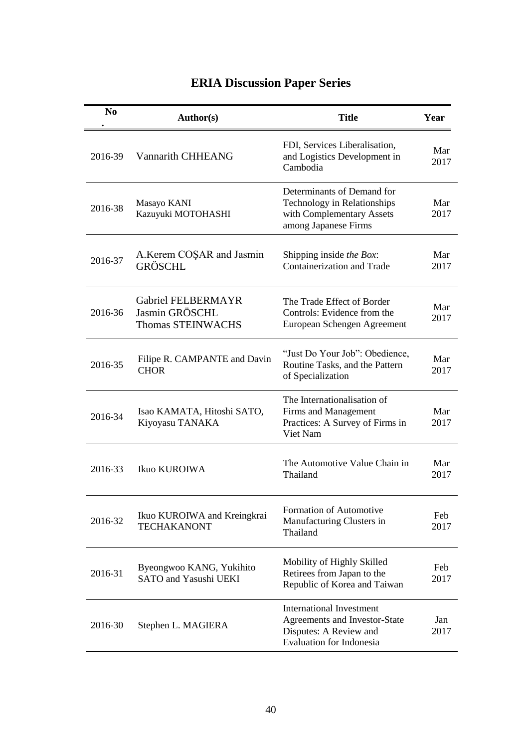| N <sub>0</sub> | <b>Author(s)</b>                                                 | <b>Title</b>                                                                                                                  | Year        |
|----------------|------------------------------------------------------------------|-------------------------------------------------------------------------------------------------------------------------------|-------------|
| 2016-39        | <b>Vannarith CHHEANG</b>                                         | FDI, Services Liberalisation,<br>and Logistics Development in<br>Cambodia                                                     | Mar<br>2017 |
| 2016-38        | Masayo KANI<br>Kazuyuki MOTOHASHI                                | Determinants of Demand for<br>Technology in Relationships<br>with Complementary Assets<br>among Japanese Firms                | Mar<br>2017 |
| 2016-37        | A.Kerem COŞAR and Jasmin<br><b>GRÖSCHL</b>                       | Shipping inside the Box:<br>Containerization and Trade                                                                        | Mar<br>2017 |
| 2016-36        | Gabriel FELBERMAYR<br>Jasmin GRÖSCHL<br><b>Thomas STEINWACHS</b> | The Trade Effect of Border<br>Controls: Evidence from the<br>European Schengen Agreement                                      | Mar<br>2017 |
| 2016-35        | Filipe R. CAMPANTE and Davin<br><b>CHOR</b>                      | "Just Do Your Job": Obedience,<br>Routine Tasks, and the Pattern<br>of Specialization                                         | Mar<br>2017 |
| 2016-34        | Isao KAMATA, Hitoshi SATO,<br>Kiyoyasu TANAKA                    | The Internationalisation of<br>Firms and Management<br>Practices: A Survey of Firms in<br>Viet Nam                            | Mar<br>2017 |
| 2016-33        | Ikuo KUROIWA                                                     | The Automotive Value Chain in<br>Thailand                                                                                     | Mar<br>2017 |
| 2016-32        | Ikuo KUROIWA and Kreingkrai<br><b>TECHAKANONT</b>                | Formation of Automotive<br>Manufacturing Clusters in<br>Thailand                                                              | Feb<br>2017 |
| 2016-31        | Byeongwoo KANG, Yukihito<br><b>SATO</b> and Yasushi UEKI         | Mobility of Highly Skilled<br>Retirees from Japan to the<br>Republic of Korea and Taiwan                                      | Feb<br>2017 |
| 2016-30        | Stephen L. MAGIERA                                               | <b>International Investment</b><br>Agreements and Investor-State<br>Disputes: A Review and<br><b>Evaluation for Indonesia</b> | Jan<br>2017 |

# **ERIA Discussion Paper Series**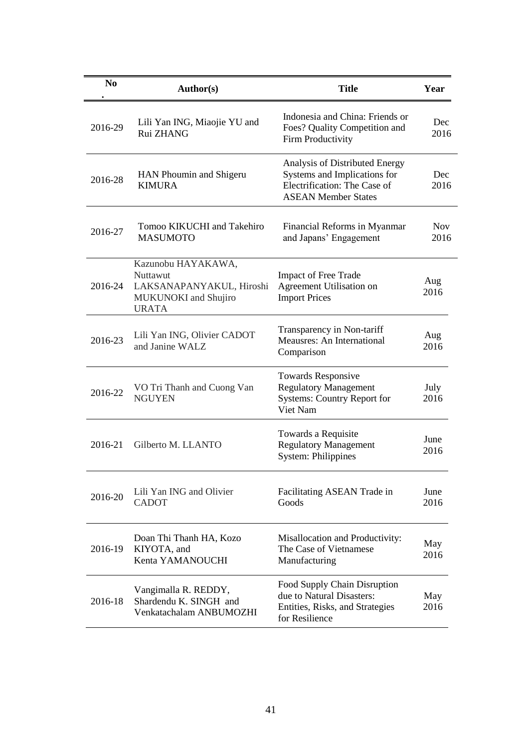| No      | Author(s)                                                                                          | <b>Title</b>                                                                                                                 | Year               |
|---------|----------------------------------------------------------------------------------------------------|------------------------------------------------------------------------------------------------------------------------------|--------------------|
| 2016-29 | Lili Yan ING, Miaojie YU and<br>Rui ZHANG                                                          | Indonesia and China: Friends or<br>Foes? Quality Competition and<br>Firm Productivity                                        | Dec<br>2016        |
| 2016-28 | HAN Phoumin and Shigeru<br><b>KIMURA</b>                                                           | Analysis of Distributed Energy<br>Systems and Implications for<br>Electrification: The Case of<br><b>ASEAN Member States</b> | Dec<br>2016        |
| 2016-27 | Tomoo KIKUCHI and Takehiro<br><b>MASUMOTO</b>                                                      | Financial Reforms in Myanmar<br>and Japans' Engagement                                                                       | <b>Nov</b><br>2016 |
| 2016-24 | Kazunobu HAYAKAWA,<br>Nuttawut<br>LAKSANAPANYAKUL, Hiroshi<br>MUKUNOKI and Shujiro<br><b>URATA</b> | <b>Impact of Free Trade</b><br>Agreement Utilisation on<br><b>Import Prices</b>                                              | Aug<br>2016        |
| 2016-23 | Lili Yan ING, Olivier CADOT<br>and Janine WALZ                                                     | Transparency in Non-tariff<br>Meausres: An International<br>Comparison                                                       | Aug<br>2016        |
| 2016-22 | VO Tri Thanh and Cuong Van<br><b>NGUYEN</b>                                                        | <b>Towards Responsive</b><br><b>Regulatory Management</b><br><b>Systems: Country Report for</b><br>Viet Nam                  | July<br>2016       |
| 2016-21 | Gilberto M. LLANTO                                                                                 | Towards a Requisite<br><b>Regulatory Management</b><br><b>System: Philippines</b>                                            | June<br>2016       |
| 2016-20 | Lili Yan ING and Olivier<br><b>CADOT</b>                                                           | Facilitating ASEAN Trade in<br>Goods                                                                                         | June<br>2016       |
| 2016-19 | Doan Thi Thanh HA, Kozo<br>KIYOTA, and<br>Kenta YAMANOUCHI                                         | Misallocation and Productivity:<br>The Case of Vietnamese<br>Manufacturing                                                   | May<br>2016        |
| 2016-18 | Vangimalla R. REDDY,<br>Shardendu K. SINGH and<br>Venkatachalam ANBUMOZHI                          | Food Supply Chain Disruption<br>due to Natural Disasters:<br>Entities, Risks, and Strategies<br>for Resilience               | May<br>2016        |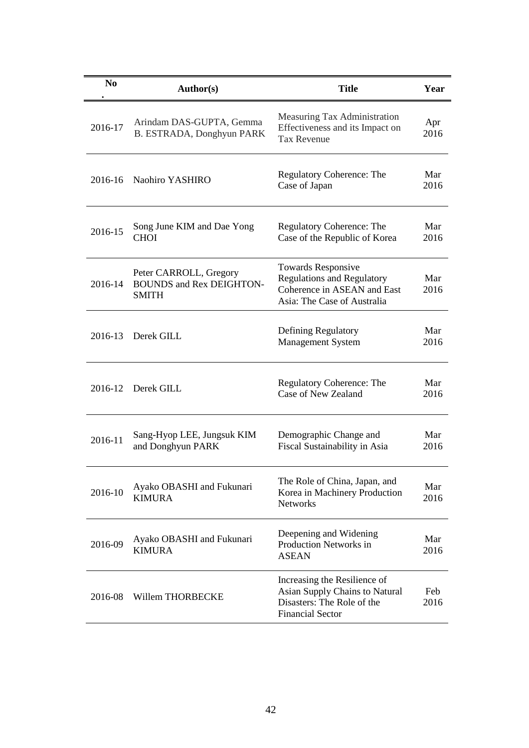| N <sub>0</sub> | <b>Author(s)</b>                                                          | <b>Title</b>                                                                                                            | Year        |
|----------------|---------------------------------------------------------------------------|-------------------------------------------------------------------------------------------------------------------------|-------------|
| 2016-17        | Arindam DAS-GUPTA, Gemma<br>B. ESTRADA, Donghyun PARK                     | Measuring Tax Administration<br>Effectiveness and its Impact on<br><b>Tax Revenue</b>                                   | Apr<br>2016 |
| 2016-16        | Naohiro YASHIRO                                                           | <b>Regulatory Coherence: The</b><br>Case of Japan                                                                       | Mar<br>2016 |
| 2016-15        | Song June KIM and Dae Yong<br><b>CHOI</b>                                 | <b>Regulatory Coherence: The</b><br>Case of the Republic of Korea                                                       | Mar<br>2016 |
| 2016-14        | Peter CARROLL, Gregory<br><b>BOUNDS</b> and Rex DEIGHTON-<br><b>SMITH</b> | Towards Responsive<br><b>Regulations and Regulatory</b><br>Coherence in ASEAN and East<br>Asia: The Case of Australia   | Mar<br>2016 |
| 2016-13        | Derek GILL                                                                | Defining Regulatory<br>Management System                                                                                | Mar<br>2016 |
| 2016-12        | Derek GILL                                                                | <b>Regulatory Coherence: The</b><br>Case of New Zealand                                                                 | Mar<br>2016 |
| 2016-11        | Sang-Hyop LEE, Jungsuk KIM<br>and Donghyun PARK                           | Demographic Change and<br>Fiscal Sustainability in Asia                                                                 | Mar<br>2016 |
| 2016-10        | Ayako OBASHI and Fukunari<br><b>KIMURA</b>                                | The Role of China, Japan, and<br>Korea in Machinery Production<br><b>Networks</b>                                       | Mar<br>2016 |
| 2016-09        | Ayako OBASHI and Fukunari<br><b>KIMURA</b>                                | Deepening and Widening<br>Production Networks in<br><b>ASEAN</b>                                                        | Mar<br>2016 |
| 2016-08        | Willem THORBECKE                                                          | Increasing the Resilience of<br>Asian Supply Chains to Natural<br>Disasters: The Role of the<br><b>Financial Sector</b> | Feb<br>2016 |